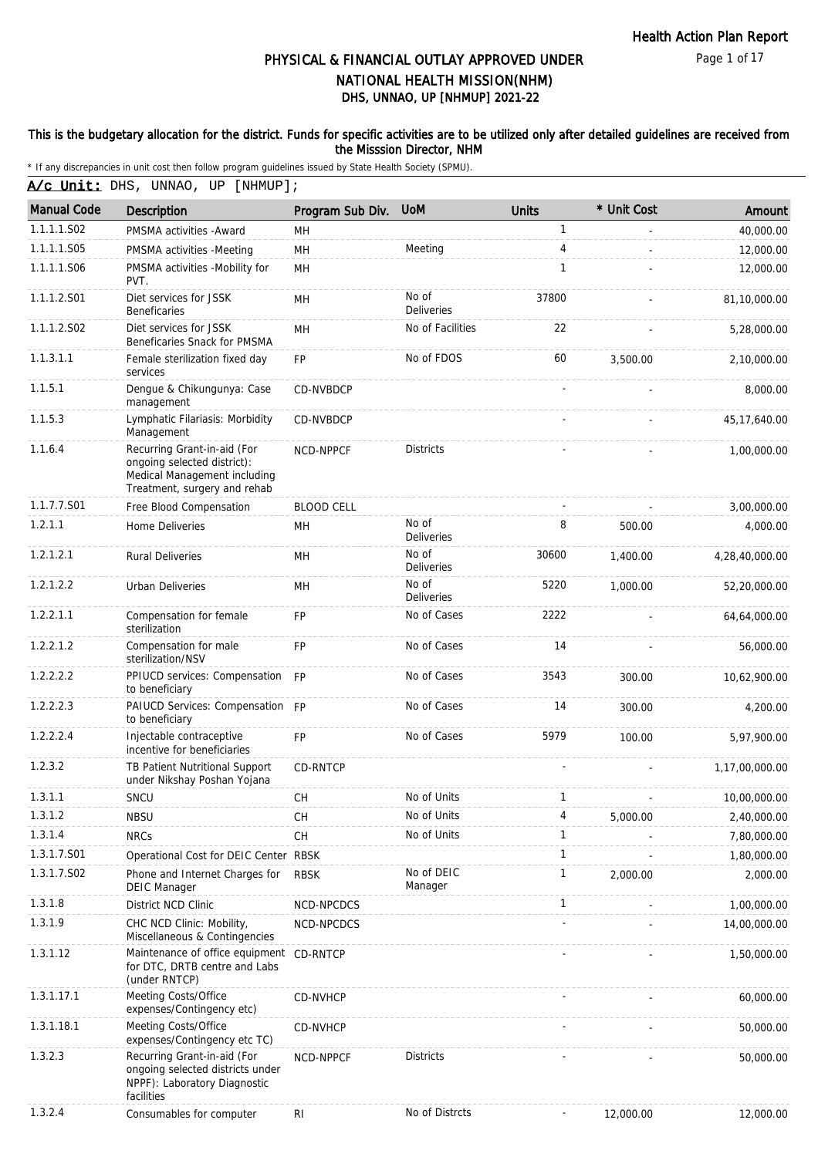### This is the budgetary allocation for the district. Funds for specific activities are to be utilized only after detailed guidelines are received from the Misssion Director, NHM

\* If any discrepancies in unit cost then follow program guidelines issued by State Health Society (SPMU).

A/c Unit: DHS, UNNAO, UP [NHMUP];

| <b>Manual Code</b> | Description                                                                                                                | Program Sub Div.  | <b>UoM</b>                 | <b>Units</b>             | * Unit Cost | Amount         |
|--------------------|----------------------------------------------------------------------------------------------------------------------------|-------------------|----------------------------|--------------------------|-------------|----------------|
| 1.1.1.1.S02        | PMSMA activities - Award                                                                                                   | MН                |                            | $\mathbf{1}$             |             | 40,000.00      |
| 1.1.1.1.S05        | PMSMA activities -Meeting                                                                                                  | MH                | Meeting                    | 4                        |             | 12,000.00      |
| 1.1.1.1.S06        | PMSMA activities -Mobility for<br>PVT.                                                                                     | MH                |                            | $\mathbf{1}$             |             | 12,000.00      |
| 1.1.1.2.S01        | Diet services for JSSK<br><b>Beneficaries</b>                                                                              | MH                | No of<br><b>Deliveries</b> | 37800                    |             | 81,10,000.00   |
| 1.1.1.2.S02        | Diet services for JSSK<br>Beneficaries Snack for PMSMA                                                                     | MH                | No of Facilities           | 22                       |             | 5,28,000.00    |
| 1.1.3.1.1          | Female sterilization fixed day<br>services                                                                                 | <b>FP</b>         | No of FDOS                 | 60                       | 3,500.00    | 2.10.000.00    |
| 1.1.5.1            | Dengue & Chikungunya: Case<br>management                                                                                   | CD-NVBDCP         |                            |                          |             | 8,000.00       |
| 1.1.5.3            | Lymphatic Filariasis: Morbidity<br>Management                                                                              | CD-NVBDCP         |                            |                          |             | 45,17,640.00   |
| 1.1.6.4            | Recurring Grant-in-aid (For<br>ongoing selected district):<br>Medical Management including<br>Treatment, surgery and rehab | NCD-NPPCF         | <b>Districts</b>           |                          |             | 1,00,000.00    |
| 1.1.7.7.S01        | Free Blood Compensation                                                                                                    | <b>BLOOD CELL</b> |                            |                          |             | 3,00,000.00    |
| 1.2.1.1            | Home Deliveries                                                                                                            | MН                | No of<br><b>Deliveries</b> | 8                        | 500.00      | 4,000.00       |
| 1.2.1.2.1          | <b>Rural Deliveries</b>                                                                                                    | MH                | No of<br><b>Deliveries</b> | 30600                    | 1.400.00    | 4,28,40,000.00 |
| 1.2.1.2.2          | Urban Deliveries                                                                                                           | MН                | No of<br><b>Deliveries</b> | 5220                     | 1,000.00    | 52,20,000.00   |
| 1.2.2.1.1          | Compensation for female<br>sterilization                                                                                   | <b>FP</b>         | No of Cases                | 2222                     |             | 64,64,000.00   |
| 1.2.2.1.2          | Compensation for male<br>sterilization/NSV                                                                                 | <b>FP</b>         | No of Cases                | 14                       |             | 56,000.00      |
| 1.2.2.2.2          | PPIUCD services: Compensation<br>to beneficiary                                                                            | <b>FP</b>         | No of Cases                | 3543                     | 300.00      | 10,62,900.00   |
| 1.2.2.2.3          | PAIUCD Services: Compensation FP<br>to beneficiary                                                                         |                   | No of Cases                | 14                       | 300.00      | 4,200.00       |
| 1.2.2.2.4          | Injectable contraceptive<br>incentive for beneficiaries                                                                    | <b>FP</b>         | No of Cases                | 5979                     | 100.00      | 5,97,900.00    |
| 1.2.3.2            | TB Patient Nutritional Support<br>under Nikshay Poshan Yojana                                                              | CD-RNTCP          |                            |                          |             | 1,17,00,000.00 |
| 1.3.1.1            | SNCU                                                                                                                       | <b>CH</b>         | No of Units                | $\mathbf{1}$             |             | 10,00,000.00   |
| 1.3.1.2            | <b>NBSU</b>                                                                                                                | CН                | No of Units                | 4                        | 5,000.00    | 2,40,000.00    |
| 1.3.1.4            | <b>NRCs</b>                                                                                                                | <b>CH</b>         | No of Units                | 1                        |             | 7,80,000.00    |
| 1.3.1.7.S01        | Operational Cost for DEIC Center RBSK                                                                                      |                   |                            | $\mathbf{1}$             |             | 1,80,000.00    |
| 1.3.1.7.S02        | Phone and Internet Charges for<br><b>DEIC Manager</b>                                                                      | <b>RBSK</b>       | No of DEIC<br>Manager      | $\mathbf{1}$             | 2,000.00    | 2,000.00       |
| 1.3.1.8            | District NCD Clinic                                                                                                        | NCD-NPCDCS        |                            | $\mathbf{1}$             |             | 1,00,000.00    |
| 1.3.1.9            | CHC NCD Clinic: Mobility,<br>Miscellaneous & Contingencies                                                                 | NCD-NPCDCS        |                            |                          |             | 14,00,000.00   |
| 1.3.1.12           | Maintenance of office equipment CD-RNTCP<br>for DTC, DRTB centre and Labs<br>(under RNTCP)                                 |                   |                            |                          |             | 1,50,000.00    |
| 1.3.1.17.1         | Meeting Costs/Office<br>expenses/Contingency etc)                                                                          | <b>CD-NVHCP</b>   |                            |                          |             | 60,000.00      |
| 1.3.1.18.1         | Meeting Costs/Office<br>expenses/Contingency etc TC)                                                                       | CD-NVHCP          |                            |                          |             | 50,000.00      |
| 1.3.2.3            | Recurring Grant-in-aid (For<br>ongoing selected districts under<br>NPPF): Laboratory Diagnostic<br>facilities              | NCD-NPPCF         | <b>Districts</b>           |                          |             | 50,000.00      |
| 1.3.2.4            | Consumables for computer                                                                                                   | RI                | No of Distrcts             | $\overline{\phantom{a}}$ | 12,000.00   | 12,000.00      |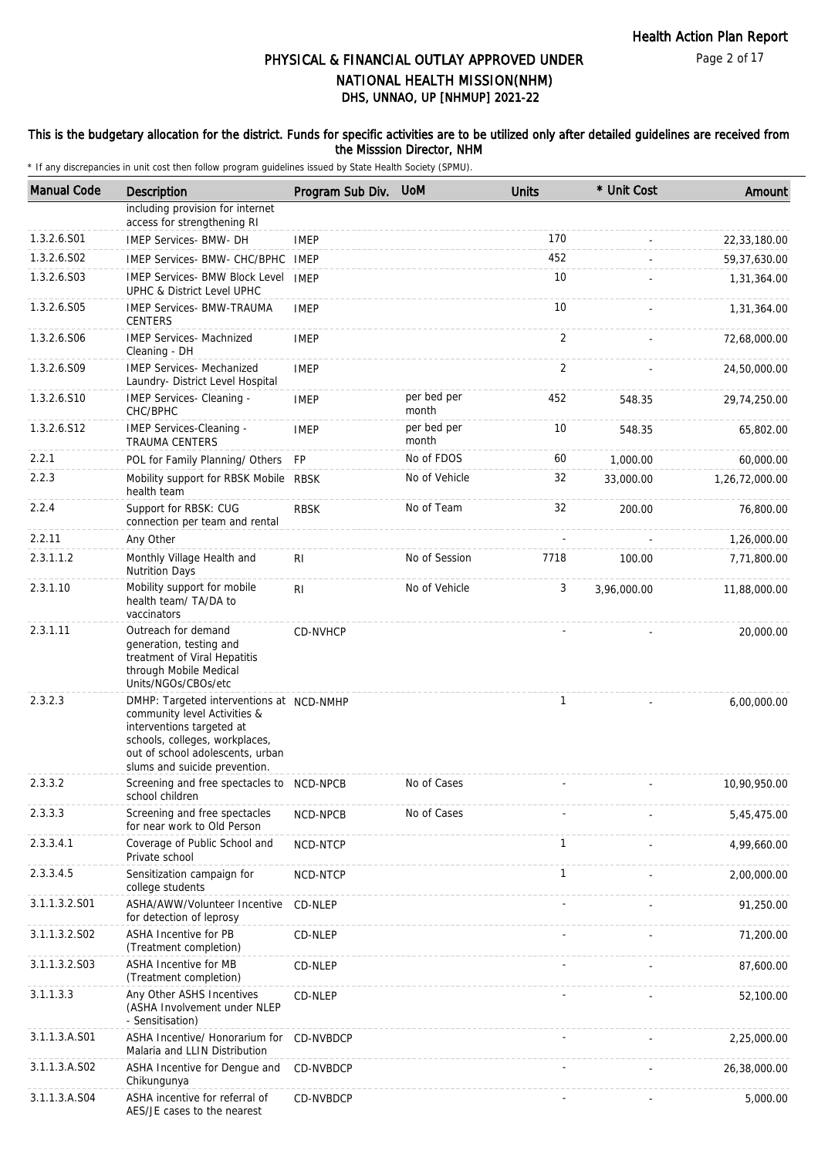#### This is the budgetary allocation for the district. Funds for specific activities are to be utilized only after detailed guidelines are received from the Misssion Director, NHM

| <b>Manual Code</b> | Description                                                                                                                                                                                                  | Program Sub Div. | <b>UoM</b>           | <b>Units</b>   | * Unit Cost | Amount         |
|--------------------|--------------------------------------------------------------------------------------------------------------------------------------------------------------------------------------------------------------|------------------|----------------------|----------------|-------------|----------------|
|                    | including provision for internet<br>access for strengthening RI                                                                                                                                              |                  |                      |                |             |                |
| 1.3.2.6.S01        | IMEP Services- BMW- DH                                                                                                                                                                                       | <b>IMEP</b>      |                      | 170            |             | 22,33,180.00   |
| 1.3.2.6.S02        | IMEP Services- BMW- CHC/BPHC                                                                                                                                                                                 | IMEP             |                      | 452            |             | 59,37,630.00   |
| 1.3.2.6.S03        | <b>IMEP Services- BMW Block Level</b><br>UPHC & District Level UPHC                                                                                                                                          | <b>IMEP</b>      |                      | 10             |             | 1,31,364.00    |
| 1.3.2.6.S05        | <b>IMEP Services- BMW-TRAUMA</b><br><b>CENTERS</b>                                                                                                                                                           | <b>IMEP</b>      |                      | 10             |             | 1,31,364.00    |
| 1.3.2.6.S06        | <b>IMEP Services- Machnized</b><br>Cleaning - DH                                                                                                                                                             | <b>IMEP</b>      |                      | $\overline{2}$ |             | 72,68,000.00   |
| 1.3.2.6.S09        | <b>IMEP Services- Mechanized</b><br>Laundry- District Level Hospital                                                                                                                                         | <b>IMEP</b>      |                      | 2              |             | 24,50,000.00   |
| 1.3.2.6.S10        | IMEP Services- Cleaning -<br>CHC/BPHC                                                                                                                                                                        | <b>IMEP</b>      | per bed per<br>month | 452            | 548.35      | 29,74,250.00   |
| 1.3.2.6.S12        | IMEP Services-Cleaning -<br>TRAUMA CENTERS                                                                                                                                                                   | <b>IMEP</b>      | per bed per<br>month | 10             | 548.35      | 65,802.00      |
| 2.2.1              | POL for Family Planning/ Others                                                                                                                                                                              | <b>FP</b>        | No of FDOS           | 60             | 1,000.00    | 60,000.00      |
| 2.2.3              | Mobility support for RBSK Mobile<br>health team                                                                                                                                                              | <b>RBSK</b>      | No of Vehicle        | 32             | 33,000.00   | 1,26,72,000.00 |
| 2.2.4              | Support for RBSK: CUG<br>connection per team and rental                                                                                                                                                      | <b>RBSK</b>      | No of Team           | 32             | 200.00      | 76,800.00      |
| 2.2.11             | Any Other                                                                                                                                                                                                    |                  |                      |                |             | 1,26,000.00    |
| 2.3.1.1.2          | Monthly Village Health and<br><b>Nutrition Days</b>                                                                                                                                                          | RI               | No of Session        | 7718           | 100.00      | 7,71,800.00    |
| 2.3.1.10           | Mobility support for mobile<br>health team/ TA/DA to<br>vaccinators                                                                                                                                          | R <sub>l</sub>   | No of Vehicle        | 3              | 3,96,000.00 | 11,88,000.00   |
| 2.3.1.11           | Outreach for demand<br>generation, testing and<br>treatment of Viral Hepatitis<br>through Mobile Medical<br>Units/NGOs/CBOs/etc                                                                              | CD-NVHCP         |                      |                |             | 20,000.00      |
| 2.3.2.3            | DMHP: Targeted interventions at NCD-NMHP<br>community level Activities &<br>interventions targeted at<br>schools, colleges, workplaces,<br>out of school adolescents, urban<br>slums and suicide prevention. |                  |                      | $\mathbf{1}$   |             | 6,00,000.00    |
| 2.3.3.2            | Screening and free spectacles to NCD-NPCB<br>school children                                                                                                                                                 |                  | No of Cases          |                |             | 10,90,950.00   |
| 2.3.3.3            | Screening and free spectacles<br>for near work to Old Person                                                                                                                                                 | NCD-NPCB         | No of Cases          |                |             | 5,45,475.00    |
| 2.3.3.4.1          | Coverage of Public School and<br>Private school                                                                                                                                                              | NCD-NTCP         |                      | $\mathbf{1}$   |             | 4,99,660.00    |
| 2.3.3.4.5          | Sensitization campaign for<br>college students                                                                                                                                                               | NCD-NTCP         |                      | $\mathbf{1}$   |             | 2,00,000.00    |
| 3.1.1.3.2.S01      | ASHA/AWW/Volunteer Incentive<br>for detection of leprosy                                                                                                                                                     | CD-NLEP          |                      |                |             | 91,250.00      |
| 3.1.1.3.2.S02      | ASHA Incentive for PB<br>(Treatment completion)                                                                                                                                                              | CD-NLEP          |                      |                |             | 71,200.00      |
| 3.1.1.3.2.S03      | ASHA Incentive for MB<br>(Treatment completion)                                                                                                                                                              | CD-NLEP          |                      |                |             | 87,600.00      |
| 3.1.1.3.3          | Any Other ASHS Incentives<br>(ASHA Involvement under NLEP<br>- Sensitisation)                                                                                                                                | CD-NLEP          |                      |                |             | 52,100.00      |
| 3.1.1.3.A.S01      | ASHA Incentive/ Honorarium for<br>Malaria and LLIN Distribution                                                                                                                                              | CD-NVBDCP        |                      |                |             | 2,25,000.00    |
| 3.1.1.3.A.S02      | ASHA Incentive for Dengue and<br>Chikungunya                                                                                                                                                                 | CD-NVBDCP        |                      |                |             | 26,38,000.00   |
| 3.1.1.3.A.S04      | ASHA incentive for referral of<br>AES/JE cases to the nearest                                                                                                                                                | CD-NVBDCP        |                      |                |             | 5,000.00       |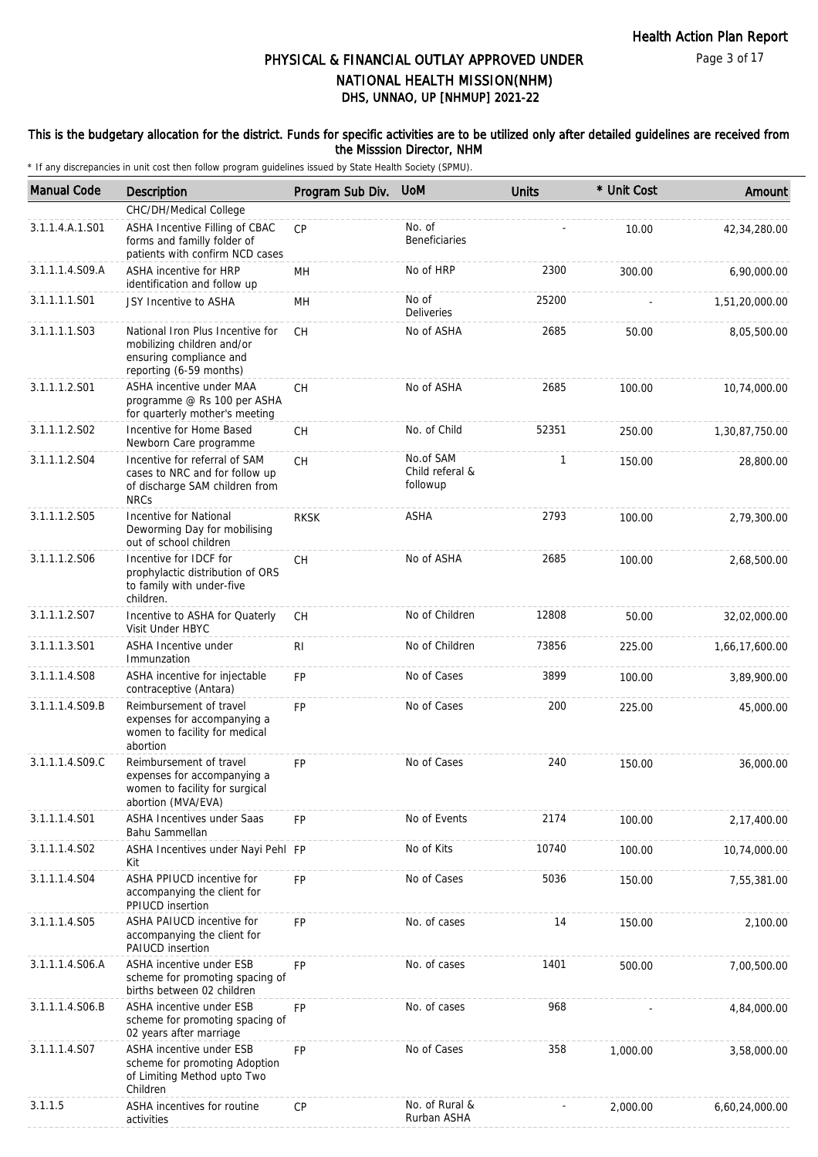#### This is the budgetary allocation for the district. Funds for specific activities are to be utilized only after detailed guidelines are received from the Misssion Director, NHM

| <b>Manual Code</b> | Description                                                                                                          | Program Sub Div. | <b>UoM</b>                               | <b>Units</b> | * Unit Cost | Amount         |
|--------------------|----------------------------------------------------------------------------------------------------------------------|------------------|------------------------------------------|--------------|-------------|----------------|
|                    | CHC/DH/Medical College                                                                                               |                  |                                          |              |             |                |
| 3.1.1.4.A.1.S01    | ASHA Incentive Filling of CBAC<br>forms and familly folder of<br>patients with confirm NCD cases                     | CP               | No. of<br><b>Beneficiaries</b>           |              | 10.00       | 42,34,280.00   |
| 3.1.1.1.4.S09.A    | ASHA incentive for HRP<br>identification and follow up                                                               | MН               | No of HRP                                | 2300         | 300.00      | 6,90,000.00    |
| 3.1.1.1.1.S01      | JSY Incentive to ASHA                                                                                                | MН               | No of<br><b>Deliveries</b>               | 25200        |             | 1,51,20,000.00 |
| 3.1.1.1.1.S03      | National Iron Plus Incentive for<br>mobilizing children and/or<br>ensuring compliance and<br>reporting (6-59 months) | <b>CH</b>        | No of ASHA                               | 2685         | 50.00       | 8,05,500.00    |
| 3.1.1.1.2.S01      | ASHA incentive under MAA<br>programme @ Rs 100 per ASHA<br>for quarterly mother's meeting                            | CH               | No of ASHA                               | 2685         | 100.00      | 10,74,000.00   |
| 3.1.1.1.2.S02      | Incentive for Home Based<br>Newborn Care programme                                                                   | <b>CH</b>        | No. of Child                             | 52351        | 250.00      | 1,30,87,750.00 |
| 3.1.1.1.2.S04      | Incentive for referral of SAM<br>cases to NRC and for follow up<br>of discharge SAM children from<br><b>NRCs</b>     | <b>CH</b>        | No.of SAM<br>Child referal &<br>followup | 1            | 150.00      | 28,800.00      |
| 3.1.1.1.2.S05      | Incentive for National<br>Deworming Day for mobilising<br>out of school children                                     | <b>RKSK</b>      | ASHA                                     | 2793         | 100.00      | 2,79,300.00    |
| 3.1.1.1.2.S06      | Incentive for IDCF for<br>prophylactic distribution of ORS<br>to family with under-five<br>children.                 | CH               | No of ASHA                               | 2685         | 100.00      | 2,68,500.00    |
| 3.1.1.1.2.S07      | Incentive to ASHA for Quaterly<br>Visit Under HBYC                                                                   | <b>CH</b>        | No of Children                           | 12808        | 50.00       | 32,02,000.00   |
| 3.1.1.1.3.S01      | ASHA Incentive under<br>Immunzation                                                                                  | RI.              | No of Children                           | 73856        | 225.00      | 1,66,17,600.00 |
| 3.1.1.1.4.S08      | ASHA incentive for injectable<br>contraceptive (Antara)                                                              | <b>FP</b>        | No of Cases                              | 3899         | 100.00      | 3,89,900.00    |
| 3.1.1.1.4.S09.B    | Reimbursement of travel<br>expenses for accompanying a<br>women to facility for medical<br>abortion                  | <b>FP</b>        | No of Cases                              | 200          | 225.00      | 45,000.00      |
| 3.1.1.1.4.S09.C    | Reimbursement of travel<br>expenses for accompanying a<br>women to facility for surgical<br>abortion (MVA/EVA)       | <b>FP</b>        | No of Cases                              | 240          | 150.00      | 36,000.00      |
| 3.1.1.1.4.S01      | <b>ASHA Incentives under Saas</b><br>Bahu Sammellan                                                                  | FP               | No of Events                             | 2174         | 100.00      | 2,17,400.00    |
| 3.1.1.1.4.S02      | ASHA Incentives under Nayi Pehl FP<br>Kit                                                                            |                  | No of Kits                               | 10740        | 100.00      | 10,74,000.00   |
| 3.1.1.1.4.S04      | ASHA PPIUCD incentive for<br>accompanying the client for<br>PPIUCD insertion                                         | FP               | No of Cases                              | 5036         | 150.00      | 7,55,381.00    |
| 3.1.1.1.4.S05      | ASHA PAIUCD incentive for<br>accompanying the client for<br>PAIUCD insertion                                         | <b>FP</b>        | No. of cases                             | 14           | 150.00      | 2,100.00       |
| 3.1.1.1.4.S06.A    | ASHA incentive under ESB<br>scheme for promoting spacing of<br>births between 02 children                            | FP               | No. of cases                             | 1401         | 500.00      | 7,00,500.00    |
| 3.1.1.1.4.S06.B    | ASHA incentive under ESB<br>scheme for promoting spacing of<br>02 years after marriage                               | <b>FP</b>        | No. of cases                             | 968          |             | 4,84,000.00    |
| 3.1.1.1.4.S07      | ASHA incentive under ESB<br>scheme for promoting Adoption<br>of Limiting Method upto Two<br>Children                 | <b>FP</b>        | No of Cases                              | 358          | 1,000.00    | 3,58,000.00    |
| 3.1.1.5            | ASHA incentives for routine<br>activities                                                                            | <b>CP</b>        | No. of Rural &<br>Rurban ASHA            |              | 2,000.00    | 6,60,24,000.00 |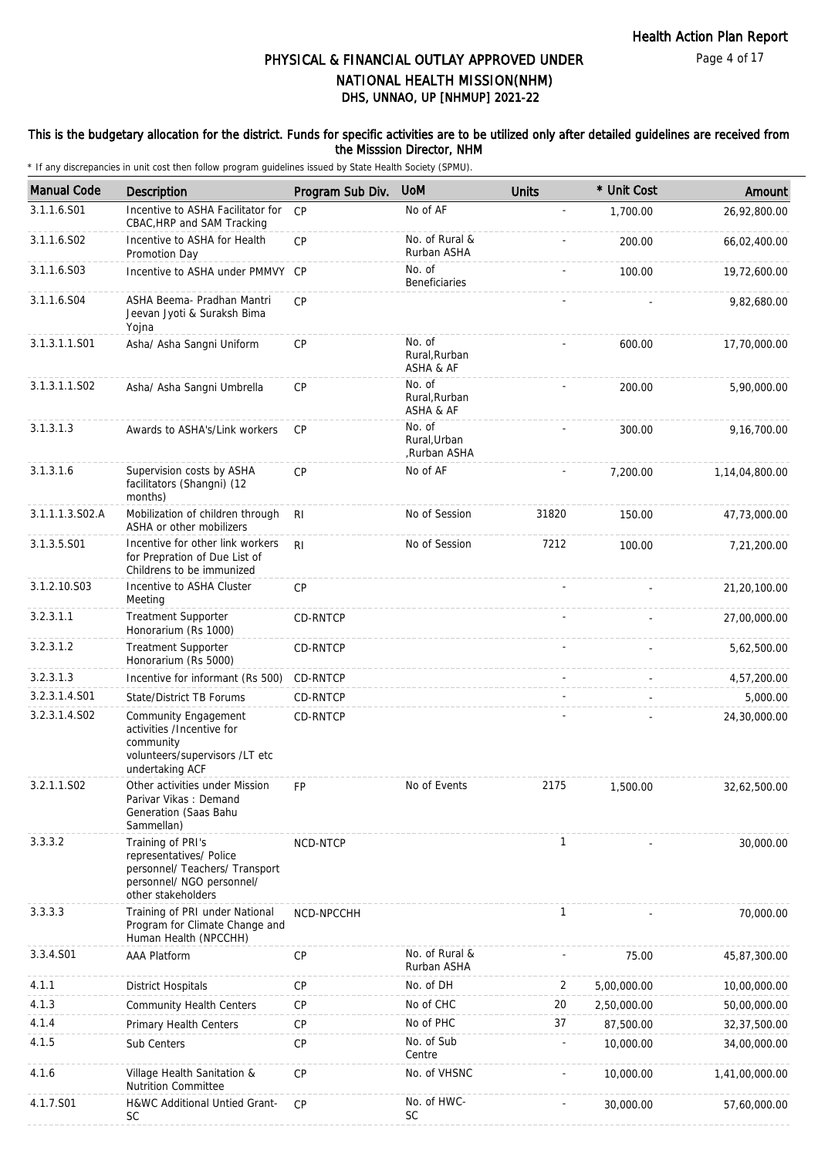### This is the budgetary allocation for the district. Funds for specific activities are to be utilized only after detailed guidelines are received from the Misssion Director, NHM

| <b>Manual Code</b> | Description                                                                                                                       | Program Sub Div. | <b>UoM</b>                             | <b>Units</b> | * Unit Cost | Amount         |
|--------------------|-----------------------------------------------------------------------------------------------------------------------------------|------------------|----------------------------------------|--------------|-------------|----------------|
| 3.1.1.6.S01        | Incentive to ASHA Facilitator for<br>CBAC, HRP and SAM Tracking                                                                   | CP               | No of AF                               | ÷,           | 1,700.00    | 26,92,800.00   |
| 3.1.1.6.S02        | Incentive to ASHA for Health<br>Promotion Day                                                                                     | CP               | No. of Rural &<br>Rurban ASHA          |              | 200.00      | 66,02,400.00   |
| 3.1.1.6.S03        | Incentive to ASHA under PMMVY CP                                                                                                  |                  | No. of<br>Beneficiaries                |              | 100.00      | 19,72,600.00   |
| 3.1.1.6.S04        | ASHA Beema- Pradhan Mantri<br>Jeevan Jyoti & Suraksh Bima<br>Yojna                                                                | CP               |                                        |              |             | 9,82,680.00    |
| 3.1.3.1.1.S01      | Asha/ Asha Sangni Uniform                                                                                                         | CP               | No. of<br>Rural, Rurban<br>ASHA & AF   |              | 600.00      | 17,70,000.00   |
| 3.1.3.1.1.S02      | Asha/ Asha Sangni Umbrella                                                                                                        | CP               | No. of<br>Rural, Rurban<br>ASHA & AF   |              | 200.00      | 5,90,000.00    |
| 3.1.3.1.3          | Awards to ASHA's/Link workers                                                                                                     | CP               | No. of<br>Rural, Urban<br>,Rurban ASHA |              | 300.00      | 9,16,700.00    |
| 3.1.3.1.6          | Supervision costs by ASHA<br>facilitators (Shangni) (12<br>months)                                                                | CP               | No of AF                               |              | 7,200.00    | 1,14,04,800.00 |
| 3.1.1.1.3.S02.A    | Mobilization of children through<br>ASHA or other mobilizers                                                                      | R <sub>l</sub>   | No of Session                          | 31820        | 150.00      | 47,73,000.00   |
| 3.1.3.5.S01        | Incentive for other link workers<br>for Prepration of Due List of<br>Childrens to be immunized                                    | R <sub>l</sub>   | No of Session                          | 7212         | 100.00      | 7,21,200.00    |
| 3.1.2.10.S03       | Incentive to ASHA Cluster<br>Meeting                                                                                              | <b>CP</b>        |                                        |              |             | 21,20,100.00   |
| 3.2.3.1.1          | <b>Treatment Supporter</b><br>Honorarium (Rs 1000)                                                                                | <b>CD-RNTCP</b>  |                                        |              |             | 27,00,000.00   |
| 3.2.3.1.2          | <b>Treatment Supporter</b><br>Honorarium (Rs 5000)                                                                                | CD-RNTCP         |                                        |              |             | 5,62,500.00    |
| 3.2.3.1.3          | Incentive for informant (Rs 500)                                                                                                  | CD-RNTCP         |                                        |              |             | 4,57,200.00    |
| 3.2.3.1.4.S01      | State/District TB Forums                                                                                                          | CD-RNTCP         |                                        |              |             | 5,000.00       |
| 3.2.3.1.4.S02      | Community Engagement<br>activities /Incentive for<br>community<br>volunteers/supervisors /LT etc<br>undertaking ACF               | CD-RNTCP         |                                        |              |             | 24,30,000.00   |
| 3.2.1.1.S02        | Other activities under Mission<br>Parivar Vikas: Demand<br>Generation (Saas Bahu<br>Sammellan)                                    | <b>FP</b>        | No of Events                           | 2175         | 1,500.00    | 32,62,500.00   |
| 3.3.3.2            | Training of PRI's<br>representatives/ Police<br>personnel/ Teachers/ Transport<br>personnel/ NGO personnel/<br>other stakeholders | NCD-NTCP         |                                        | 1            |             | 30,000.00      |
| 3.3.3.3            | Training of PRI under National<br>Program for Climate Change and<br>Human Health (NPCCHH)                                         | NCD-NPCCHH       |                                        | 1            |             | 70,000.00      |
| 3.3.4.S01          | <b>AAA Platform</b>                                                                                                               | CP               | No. of Rural &<br>Rurban ASHA          |              | 75.00       | 45,87,300.00   |
| 4.1.1              | <b>District Hospitals</b>                                                                                                         | CP               | No. of DH                              | 2            | 5,00,000.00 | 10,00,000.00   |
| 4.1.3              | <b>Community Health Centers</b>                                                                                                   | <b>CP</b>        | No of CHC                              | 20           | 2,50,000.00 | 50,00,000.00   |
| 4.1.4              | Primary Health Centers                                                                                                            | CP               | No of PHC                              | 37           | 87,500.00   | 32,37,500.00   |
| 4.1.5              | Sub Centers                                                                                                                       | CP               | No. of Sub<br>Centre                   | ÷,           | 10,000.00   | 34,00,000.00   |
| 4.1.6              | Village Health Sanitation &<br><b>Nutrition Committee</b>                                                                         | <b>CP</b>        | No. of VHSNC                           |              | 10,000.00   | 1,41,00,000.00 |
| 4.1.7.S01          | H&WC Additional Untied Grant-<br>SC                                                                                               | CP               | No. of HWC-<br><b>SC</b>               |              | 30,000.00   | 57,60,000.00   |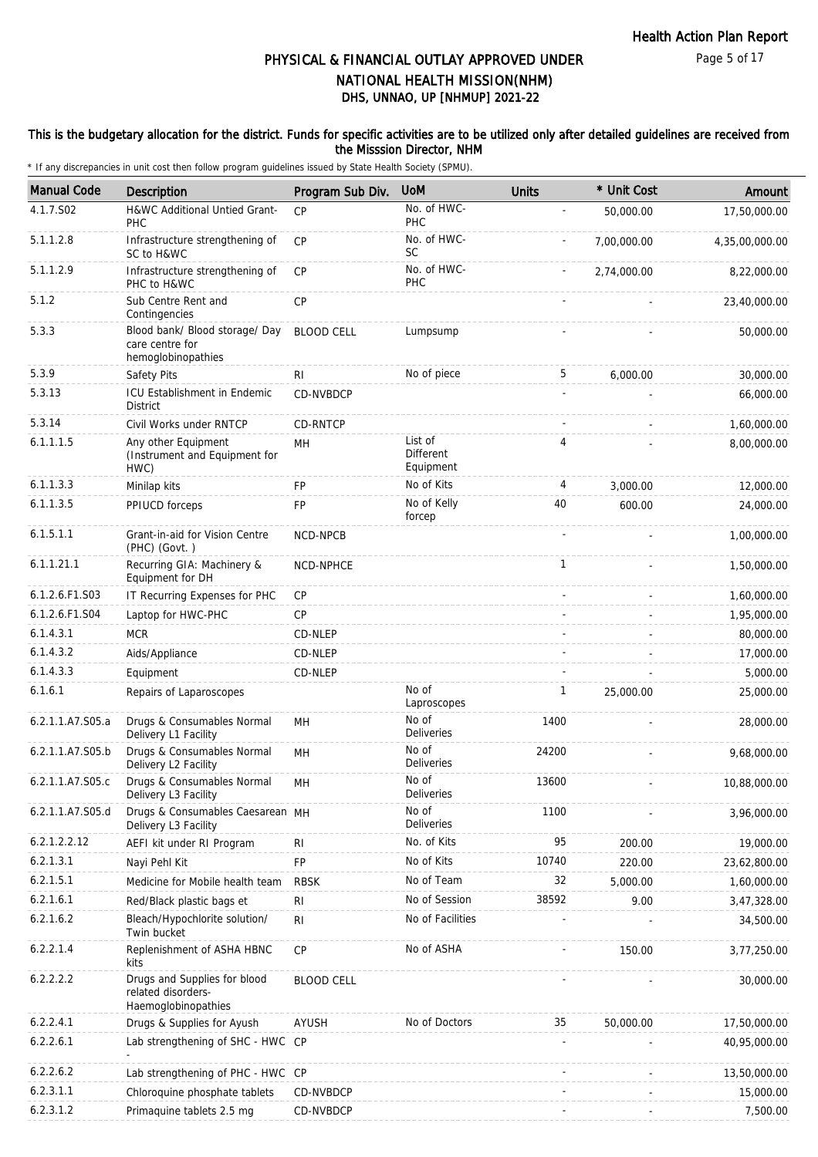### This is the budgetary allocation for the district. Funds for specific activities are to be utilized only after detailed guidelines are received from the Misssion Director, NHM

| <b>Manual Code</b> | Description                                                               | Program Sub Div.  | <b>UoM</b>                               | <b>Units</b> | * Unit Cost | Amount         |
|--------------------|---------------------------------------------------------------------------|-------------------|------------------------------------------|--------------|-------------|----------------|
| 4.1.7.S02          | H&WC Additional Untied Grant-<br>PHC                                      | CP                | No. of HWC-<br>PHC                       |              | 50,000.00   | 17,50,000.00   |
| 5.1.1.2.8          | Infrastructure strengthening of<br>SC to H&WC                             | CP                | No. of HWC-<br><b>SC</b>                 |              | 7,00,000.00 | 4,35,00,000.00 |
| 5.1.1.2.9          | Infrastructure strengthening of<br>PHC to H&WC                            | <b>CP</b>         | No. of HWC-<br>PHC                       |              | 2,74,000.00 | 8,22,000.00    |
| 5.1.2              | Sub Centre Rent and<br>Contingencies                                      | CP                |                                          |              |             | 23,40,000.00   |
| 5.3.3              | Blood bank/ Blood storage/ Day<br>care centre for<br>hemoglobinopathies   | <b>BLOOD CELL</b> | Lumpsump                                 |              |             | 50,000.00      |
| 5.3.9              | Safety Pits                                                               | RI                | No of piece                              | 5            | 6,000.00    | 30,000.00      |
| 5.3.13             | ICU Establishment in Endemic<br><b>District</b>                           | <b>CD-NVBDCP</b>  |                                          |              |             | 66,000.00      |
| 5.3.14             | Civil Works under RNTCP                                                   | CD-RNTCP          |                                          |              |             | 1,60,000.00    |
| 6.1.1.1.5          | Any other Equipment<br>(Instrument and Equipment for<br>HWC)              | MН                | List of<br><b>Different</b><br>Equipment | 4            |             | 8,00,000.00    |
| 6.1.1.3.3          | Minilap kits                                                              | FP                | No of Kits                               | 4            | 3,000.00    | 12,000.00      |
| 6.1.1.3.5          | PPIUCD forceps                                                            | FP                | No of Kelly<br>forcep                    | 40           | 600.00      | 24,000.00      |
| 6.1.5.1.1          | Grant-in-aid for Vision Centre<br>(PHC) (Govt.)                           | NCD-NPCB          |                                          |              |             | 1,00,000.00    |
| 6.1.1.21.1         | Recurring GIA: Machinery &<br>Equipment for DH                            | NCD-NPHCE         |                                          | $\mathbf{1}$ |             | 1,50,000.00    |
| 6.1.2.6.F1.S03     | IT Recurring Expenses for PHC                                             | CP                |                                          |              |             | 1,60,000.00    |
| 6.1.2.6.F1.S04     | Laptop for HWC-PHC                                                        | <b>CP</b>         |                                          |              |             | 1,95,000.00    |
| 6.1.4.3.1          | <b>MCR</b>                                                                | CD-NLEP           |                                          |              |             | 80,000.00      |
| 6.1.4.3.2          | Aids/Appliance                                                            | CD-NLEP           |                                          |              |             | 17,000.00      |
| 6.1.4.3.3          | Equipment                                                                 | CD-NLEP           |                                          |              |             | 5,000.00       |
| 6.1.6.1            | Repairs of Laparoscopes                                                   |                   | No of<br>Laproscopes                     | 1            | 25,000.00   | 25,000.00      |
| 6.2.1.1.A7.S05.a   | Drugs & Consumables Normal<br>Delivery L1 Facility                        | MH                | No of<br>Deliveries                      | 1400         |             | 28,000.00      |
| 6.2.1.1.A7.S05.b   | Drugs & Consumables Normal<br>Delivery L2 Facility                        | MH                | No of<br>Deliveries                      | 24200        |             | 9,68,000.00    |
| 6.2.1.1.A7.S05.c   | Drugs & Consumables Normal<br>Delivery L <sub>3</sub> Facility            | MH                | No of<br>Deliveries                      | 13600        |             | 10,88,000.00   |
| 6.2.1.1.A7.S05.d   | Drugs & Consumables Caesarean MH<br>Delivery L3 Facility                  |                   | No of<br>Deliveries                      | 1100         |             | 3,96,000.00    |
| 6.2.1.2.2.12       | AEFI kit under RI Program                                                 | RI                | No. of Kits                              | 95           | 200.00      | 19,000.00      |
| 6.2.1.3.1          | Nayi Pehl Kit                                                             | <b>FP</b>         | No of Kits                               | 10740        | 220.00      | 23,62,800.00   |
| 6.2.1.5.1          | Medicine for Mobile health team                                           | <b>RBSK</b>       | No of Team                               | 32           | 5,000.00    | 1,60,000.00    |
| 6.2.1.6.1          | Red/Black plastic bags et                                                 | RI                | No of Session                            | 38592        | 9.00        | 3,47,328.00    |
| 6.2.1.6.2          | Bleach/Hypochlorite solution/<br>Twin bucket                              | RI                | No of Facilities                         |              |             | 34,500.00      |
| 6.2.2.1.4          | Replenishment of ASHA HBNC<br>kits                                        | CP                | No of ASHA                               |              | 150.00      | 3,77,250.00    |
| 6.2.2.2.2          | Drugs and Supplies for blood<br>related disorders-<br>Haemoglobinopathies | <b>BLOOD CELL</b> |                                          |              |             | 30,000.00      |
| 6.2.2.4.1          | Drugs & Supplies for Ayush                                                | AYUSH             | No of Doctors                            | 35           | 50,000.00   | 17,50,000.00   |
| 6.2.2.6.1          | Lab strengthening of SHC - HWC CP                                         |                   |                                          |              |             | 40,95,000.00   |
| 6.2.2.6.2          | Lab strengthening of PHC - HWC CP                                         |                   |                                          |              |             | 13,50,000.00   |
| 6.2.3.1.1          | Chloroquine phosphate tablets                                             | CD-NVBDCP         |                                          |              |             | 15,000.00      |
| 6.2.3.1.2          | Primaquine tablets 2.5 mg                                                 | CD-NVBDCP         |                                          |              |             | 7,500.00       |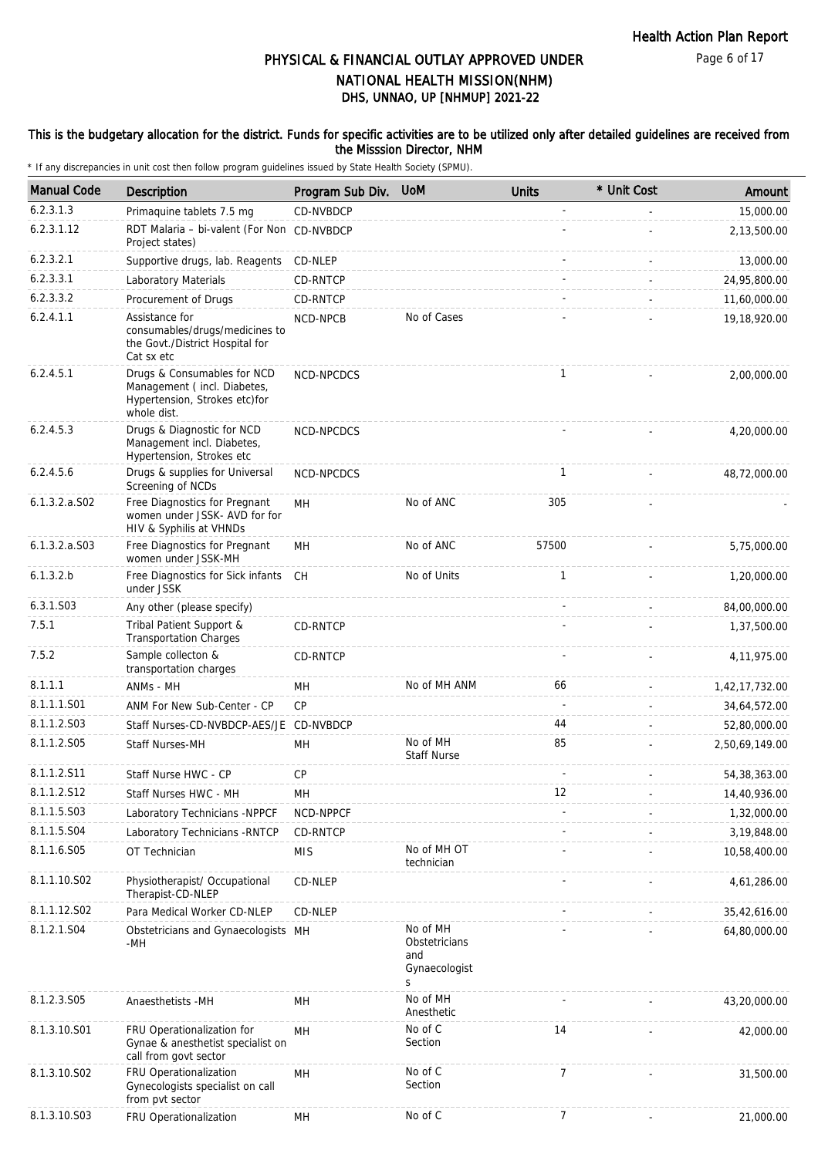### This is the budgetary allocation for the district. Funds for specific activities are to be utilized only after detailed guidelines are received from the Misssion Director, NHM

| <b>Manual Code</b> | <b>Description</b>                                                                                         | Program Sub Div. | <b>UoM</b>                                             | <b>Units</b>   | * Unit Cost | Amount         |
|--------------------|------------------------------------------------------------------------------------------------------------|------------------|--------------------------------------------------------|----------------|-------------|----------------|
| 6.2.3.1.3          | Primaquine tablets 7.5 mg                                                                                  | CD-NVBDCP        |                                                        |                |             | 15,000.00      |
| 6.2.3.1.12         | RDT Malaria - bi-valent (For Non CD-NVBDCP<br>Project states)                                              |                  |                                                        |                |             | 2,13,500.00    |
| 6.2.3.2.1          | Supportive drugs, lab. Reagents                                                                            | CD-NLEP          |                                                        |                |             | 13,000.00      |
| 6.2.3.3.1          | Laboratory Materials                                                                                       | CD-RNTCP         |                                                        |                |             | 24,95,800.00   |
| 6.2.3.3.2          | Procurement of Drugs                                                                                       | CD-RNTCP         |                                                        |                |             | 11,60,000.00   |
| 6.2.4.1.1          | Assistance for<br>consumables/drugs/medicines to<br>the Govt./District Hospital for<br>Cat sx etc          | NCD-NPCB         | No of Cases                                            |                |             | 19,18,920.00   |
| 6.2.4.5.1          | Drugs & Consumables for NCD<br>Management (incl. Diabetes,<br>Hypertension, Strokes etc)for<br>whole dist. | NCD-NPCDCS       |                                                        | $\mathbf{1}$   |             | 2,00,000.00    |
| 6.2.4.5.3          | Drugs & Diagnostic for NCD<br>Management incl. Diabetes,<br>Hypertension, Strokes etc                      | NCD-NPCDCS       |                                                        |                |             | 4,20,000.00    |
| 6.2.4.5.6          | Drugs & supplies for Universal<br>Screening of NCDs                                                        | NCD-NPCDCS       |                                                        | $\mathbf{1}$   |             | 48,72,000.00   |
| 6.1.3.2.a.S02      | Free Diagnostics for Pregnant<br>women under JSSK- AVD for for<br>HIV & Syphilis at VHNDs                  | MН               | No of ANC                                              | 305            |             |                |
| $6.1.3.2.a.$ SO3   | Free Diagnostics for Pregnant<br>women under JSSK-MH                                                       | MН               | No of ANC                                              | 57500          |             | 5,75,000.00    |
| 6.1.3.2.b          | Free Diagnostics for Sick infants<br>under JSSK                                                            | <b>CH</b>        | No of Units                                            | $\mathbf{1}$   |             | 1,20,000.00    |
| 6.3.1.S03          | Any other (please specify)                                                                                 |                  |                                                        |                |             | 84,00,000.00   |
| 7.5.1              | Tribal Patient Support &<br><b>Transportation Charges</b>                                                  | CD-RNTCP         |                                                        |                |             | 1,37,500.00    |
| 7.5.2              | Sample collecton &<br>transportation charges                                                               | CD-RNTCP         |                                                        |                |             | 4,11,975.00    |
| 8.1.1.1            | ANMs - MH                                                                                                  | MН               | No of MH ANM                                           | 66             |             | 1,42,17,732.00 |
| 8.1.1.1.S01        | ANM For New Sub-Center - CP                                                                                | CP               |                                                        |                |             | 34,64,572.00   |
| 8.1.1.2.S03        | Staff Nurses-CD-NVBDCP-AES/JE CD-NVBDCP                                                                    |                  |                                                        | 44             |             | 52,80,000.00   |
| 8.1.1.2.S05        | <b>Staff Nurses-MH</b>                                                                                     | MН               | No of MH<br><b>Staff Nurse</b>                         | 85             |             | 2,50,69,149.00 |
| 8.1.1.2.S11        | Staff Nurse HWC - CP                                                                                       | <b>CP</b>        |                                                        |                |             | 54, 38, 363.00 |
| 8.1.1.2.S12        | Staff Nurses HWC - MH                                                                                      | MH               |                                                        | 12             |             | 14,40,936.00   |
| 8.1.1.5.S03        | Laboratory Technicians -NPPCF                                                                              | NCD-NPPCF        |                                                        |                |             | 1,32,000.00    |
| 8.1.1.5.S04        | Laboratory Technicians - RNTCP                                                                             | CD-RNTCP         |                                                        |                |             | 3,19,848.00    |
| 8.1.1.6.S05        | OT Technician                                                                                              | <b>MIS</b>       | No of MH OT<br>technician                              |                |             | 10,58,400.00   |
| 8.1.1.10.S02       | Physiotherapist/ Occupational<br>Therapist-CD-NLEP                                                         | CD-NLEP          |                                                        |                |             | 4,61,286.00    |
| 8.1.1.12.S02       | Para Medical Worker CD-NLEP                                                                                | CD-NLEP          |                                                        |                |             | 35,42,616.00   |
| 8.1.2.1.S04        | Obstetricians and Gynaecologists MH<br>$-MH$                                                               |                  | No of MH<br>Obstetricians<br>and<br>Gynaecologist<br>S |                |             | 64,80,000.00   |
| 8.1.2.3.S05        | Anaesthetists -MH                                                                                          | MH               | No of MH<br>Anesthetic                                 |                |             | 43,20,000.00   |
| 8.1.3.10.S01       | FRU Operationalization for<br>Gynae & anesthetist specialist on<br>call from govt sector                   | MН               | No of C<br>Section                                     | 14             |             | 42,000.00      |
| 8.1.3.10.S02       | FRU Operationalization<br>Gynecologists specialist on call<br>from pvt sector                              | MH               | No of C<br>Section                                     | $\overline{7}$ |             | 31,500.00      |
| 8.1.3.10.S03       | FRU Operationalization                                                                                     | MH               | No of C                                                | 7              |             | 21,000.00      |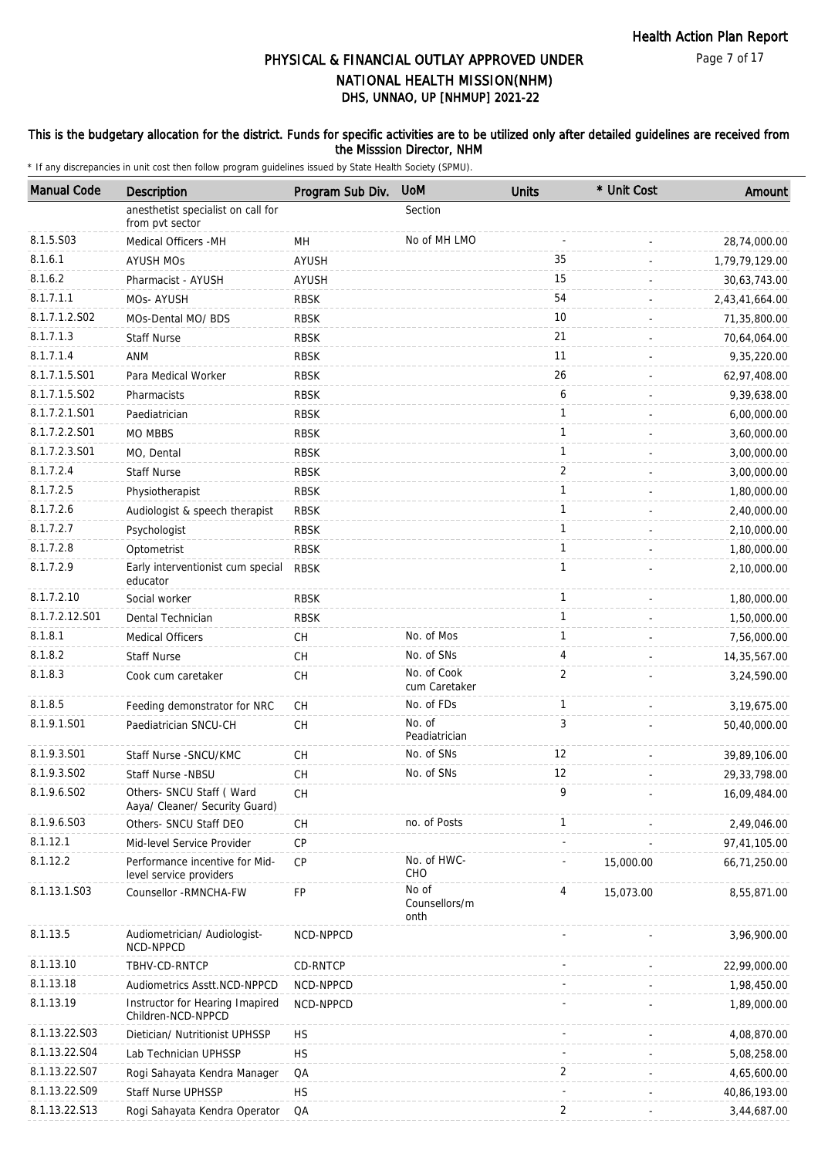### This is the budgetary allocation for the district. Funds for specific activities are to be utilized only after detailed guidelines are received from the Misssion Director, NHM

| <b>Manual Code</b> | Description                                                 | Program Sub Div. | <b>UoM</b>                     | <b>Units</b>   | * Unit Cost | Amount         |
|--------------------|-------------------------------------------------------------|------------------|--------------------------------|----------------|-------------|----------------|
|                    | anesthetist specialist on call for<br>from pvt sector       |                  | Section                        |                |             |                |
| 8.1.5.S03          | Medical Officers - MH                                       | MH               | No of MH LMO                   |                |             | 28,74,000.00   |
| 8.1.6.1            | <b>AYUSH MOS</b>                                            | <b>AYUSH</b>     |                                | 35             |             | 1,79,79,129.00 |
| 8.1.6.2            | Pharmacist - AYUSH                                          | AYUSH            |                                | 15             |             | 30,63,743.00   |
| 8.1.7.1.1          | MOs-AYUSH                                                   | <b>RBSK</b>      |                                | 54             |             | 2,43,41,664.00 |
| 8.1.7.1.2.S02      | MOs-Dental MO/ BDS                                          | <b>RBSK</b>      |                                | 10             |             | 71,35,800.00   |
| 8.1.7.1.3          | <b>Staff Nurse</b>                                          | <b>RBSK</b>      |                                | 21             |             | 70,64,064.00   |
| 8.1.7.1.4          | ANM                                                         | <b>RBSK</b>      |                                | 11             |             | 9,35,220.00    |
| 8.1.7.1.5.S01      | Para Medical Worker                                         | <b>RBSK</b>      |                                | 26             |             | 62,97,408.00   |
| 8.1.7.1.5.S02      | Pharmacists                                                 | <b>RBSK</b>      |                                | 6              |             | 9,39,638.00    |
| 8.1.7.2.1.S01      | Paediatrician                                               | <b>RBSK</b>      |                                | $\mathbf{1}$   |             | 6,00,000.00    |
| 8.1.7.2.2.S01      | MO MBBS                                                     | <b>RBSK</b>      |                                | $\mathbf{1}$   |             | 3,60,000.00    |
| 8.1.7.2.3.S01      | MO, Dental                                                  | <b>RBSK</b>      |                                | 1              |             | 3,00,000.00    |
| 8.1.7.2.4          | <b>Staff Nurse</b>                                          | <b>RBSK</b>      |                                | $\overline{2}$ |             | 3,00,000.00    |
| 8.1.7.2.5          | Physiotherapist                                             | <b>RBSK</b>      |                                | $\mathbf{1}$   |             | 1,80,000.00    |
| 8.1.7.2.6          | Audiologist & speech therapist                              | <b>RBSK</b>      |                                | 1              |             | 2,40,000.00    |
| 8.1.7.2.7          | Psychologist                                                | <b>RBSK</b>      |                                | $\mathbf{1}$   |             | 2,10,000.00    |
| 8.1.7.2.8          | Optometrist                                                 | <b>RBSK</b>      |                                | $\mathbf{1}$   |             | 1,80,000.00    |
| 8.1.7.2.9          | Early interventionist cum special<br>educator               | <b>RBSK</b>      |                                | 1              |             | 2,10,000.00    |
| 8.1.7.2.10         | Social worker                                               | <b>RBSK</b>      |                                | $\mathbf{1}$   |             | 1,80,000.00    |
| 8.1.7.2.12.S01     | Dental Technician                                           | <b>RBSK</b>      |                                | 1              |             | 1,50,000.00    |
| 8.1.8.1            | <b>Medical Officers</b>                                     | CH               | No. of Mos                     | $\mathbf{1}$   |             | 7,56,000.00    |
| 8.1.8.2            | <b>Staff Nurse</b>                                          | CH               | No. of SNs                     | 4              |             | 14,35,567.00   |
| 8.1.8.3            | Cook cum caretaker                                          | <b>CH</b>        | No. of Cook<br>cum Caretaker   | $\overline{2}$ |             | 3,24,590.00    |
| 8.1.8.5            | Feeding demonstrator for NRC                                | CH               | No. of FDs                     | $\mathbf{1}$   |             | 3,19,675.00    |
| 8.1.9.1.S01        | Paediatrician SNCU-CH                                       | <b>CH</b>        | No. of<br>Peadiatrician        | 3              |             | 50,40,000.00   |
| 8.1.9.3.S01        | Staff Nurse - SNCU/KMC                                      | CH               | No. of SNs                     | 12             |             | 39,89,106.00   |
| 8.1.9.3.SO2        | Staff Nurse -NBSU                                           | <b>CH</b>        | No. of SNs                     | 12             |             | 29, 33, 798.00 |
| 8.1.9.6.S02        | Others- SNCU Staff ( Ward<br>Aaya/ Cleaner/ Security Guard) | CH               |                                | 9              |             | 16,09,484.00   |
| 8.1.9.6.S03        | Others- SNCU Staff DEO                                      | СH               | no. of Posts                   | $\mathbf{1}$   |             | 2,49,046.00    |
| 8.1.12.1           | Mid-level Service Provider                                  | <b>CP</b>        |                                |                |             | 97,41,105.00   |
| 8.1.12.2           | Performance incentive for Mid-<br>level service providers   | CP               | No. of HWC-<br>CHO             |                | 15,000.00   | 66,71,250.00   |
| 8.1.13.1.S03       | Counsellor - RMNCHA-FW                                      | FP               | No of<br>Counsellors/m<br>onth | 4              | 15,073.00   | 8,55,871.00    |
| 8.1.13.5           | Audiometrician/ Audiologist-<br>NCD-NPPCD                   | NCD-NPPCD        |                                |                |             | 3,96,900.00    |
| 8.1.13.10          | TBHV-CD-RNTCP                                               | CD-RNTCP         |                                |                |             | 22,99,000.00   |
| 8.1.13.18          | Audiometrics Asstt.NCD-NPPCD                                | NCD-NPPCD        |                                |                |             | 1,98,450.00    |
| 8.1.13.19          | Instructor for Hearing Imapired<br>Children-NCD-NPPCD       | NCD-NPPCD        |                                |                |             | 1,89,000.00    |
| 8.1.13.22.S03      | Dietician/ Nutritionist UPHSSP                              | <b>HS</b>        |                                |                |             | 4,08,870.00    |
| 8.1.13.22.S04      | Lab Technician UPHSSP                                       | <b>HS</b>        |                                |                |             | 5,08,258.00    |
| 8.1.13.22.S07      | Rogi Sahayata Kendra Manager                                | QA               |                                | 2              |             | 4,65,600.00    |
| 8.1.13.22.S09      | Staff Nurse UPHSSP                                          | <b>HS</b>        |                                |                |             | 40,86,193.00   |
| 8.1.13.22.S13      | Rogi Sahayata Kendra Operator                               | QA               |                                | 2              |             | 3,44,687.00    |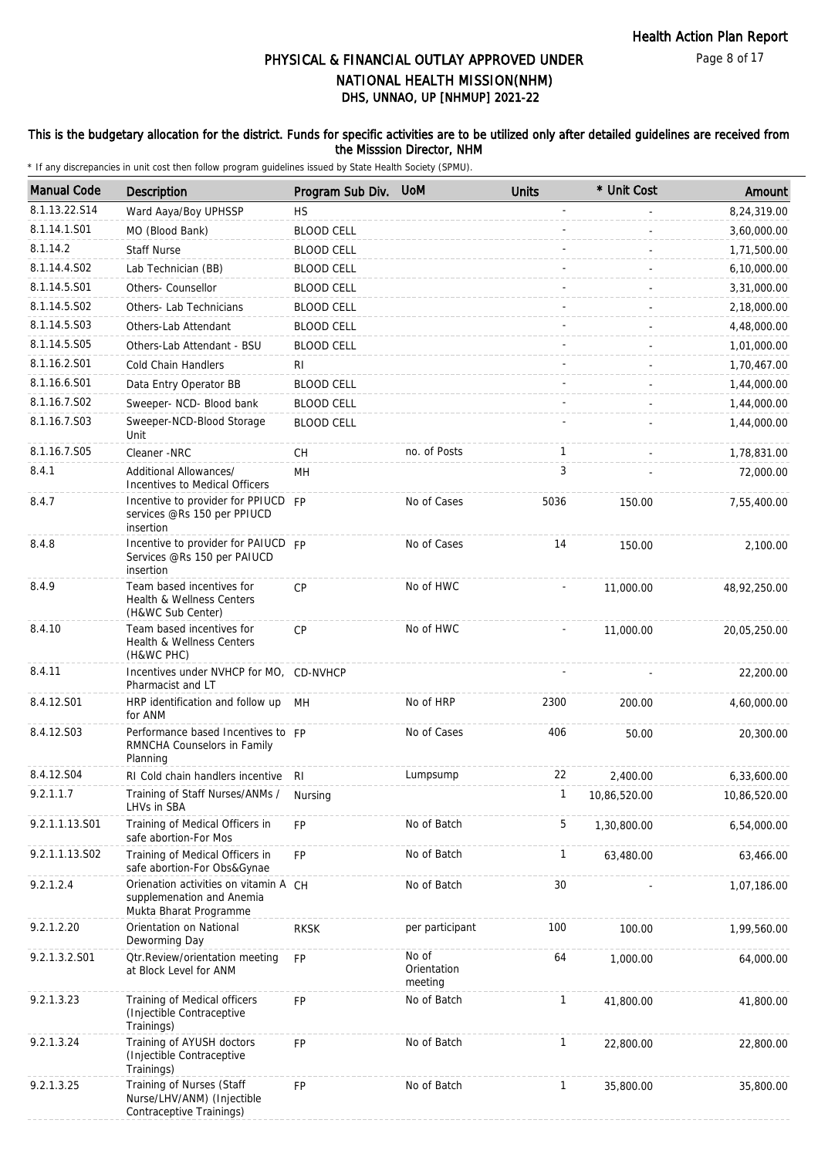### This is the budgetary allocation for the district. Funds for specific activities are to be utilized only after detailed guidelines are received from the Misssion Director, NHM

| <b>Manual Code</b> | Description                                                                                  | Program Sub Div.  | <b>UoM</b>                      | <b>Units</b> | * Unit Cost  | Amount       |
|--------------------|----------------------------------------------------------------------------------------------|-------------------|---------------------------------|--------------|--------------|--------------|
| 8.1.13.22.S14      | Ward Aaya/Boy UPHSSP                                                                         | <b>HS</b>         |                                 |              |              | 8,24,319.00  |
| 8.1.14.1.S01       | MO (Blood Bank)                                                                              | <b>BLOOD CELL</b> |                                 |              |              | 3,60,000.00  |
| 8.1.14.2           | <b>Staff Nurse</b>                                                                           | <b>BLOOD CELL</b> |                                 |              |              | 1,71,500.00  |
| 8.1.14.4.S02       | Lab Technician (BB)                                                                          | <b>BLOOD CELL</b> |                                 |              |              | 6,10,000.00  |
| 8.1.14.5.S01       | Others- Counsellor                                                                           | <b>BLOOD CELL</b> |                                 |              |              | 3,31,000.00  |
| 8.1.14.5.S02       | Others- Lab Technicians                                                                      | <b>BLOOD CELL</b> |                                 |              |              | 2,18,000.00  |
| 8.1.14.5.S03       | Others-Lab Attendant                                                                         | <b>BLOOD CELL</b> |                                 |              |              | 4,48,000.00  |
| 8.1.14.5.S05       | Others-Lab Attendant - BSU                                                                   | <b>BLOOD CELL</b> |                                 |              |              | 1,01,000.00  |
| 8.1.16.2.S01       | <b>Cold Chain Handlers</b>                                                                   | RI.               |                                 |              |              | 1,70,467.00  |
| 8.1.16.6.S01       | Data Entry Operator BB                                                                       | <b>BLOOD CELL</b> |                                 |              |              | 1,44,000.00  |
| 8.1.16.7.S02       | Sweeper- NCD- Blood bank                                                                     | <b>BLOOD CELL</b> |                                 |              |              | 1,44,000.00  |
| 8.1.16.7.S03       | Sweeper-NCD-Blood Storage<br>Unit                                                            | <b>BLOOD CELL</b> |                                 |              |              | 1,44,000.00  |
| 8.1.16.7.S05       | Cleaner -NRC                                                                                 | СH                | no. of Posts                    | $\mathbf{1}$ |              | 1,78,831.00  |
| 8.4.1              | Additional Allowances/<br>Incentives to Medical Officers                                     | MH                |                                 | 3            |              | 72,000.00    |
| 8.4.7              | Incentive to provider for PPIUCD FP<br>services @Rs 150 per PPIUCD<br>insertion              |                   | No of Cases                     | 5036         | 150.00       | 7,55,400.00  |
| 8.4.8              | Incentive to provider for PAIUCD FP<br>Services @Rs 150 per PAIUCD<br>insertion              |                   | No of Cases                     | 14           | 150.00       | 2,100.00     |
| 8.4.9              | Team based incentives for<br>Health & Wellness Centers<br>(H&WC Sub Center)                  | <b>CP</b>         | No of HWC                       |              | 11,000.00    | 48,92,250.00 |
| 8.4.10             | Team based incentives for<br>Health & Wellness Centers<br>(H&WC PHC)                         | CP                | No of HWC                       |              | 11,000.00    | 20,05,250.00 |
| 8.4.11             | Incentives under NVHCP for MO, CD-NVHCP<br>Pharmacist and LT                                 |                   |                                 |              |              | 22,200.00    |
| 8.4.12.S01         | HRP identification and follow up<br>for ANM                                                  | MН                | No of HRP                       | 2300         | 200.00       | 4,60,000.00  |
| 8.4.12.S03         | Performance based Incentives to FP<br>RMNCHA Counselors in Family<br>Planning                |                   | No of Cases                     | 406          | 50.00        | 20,300.00    |
| 8.4.12.S04         | RI Cold chain handlers incentive RI                                                          |                   | Lumpsump                        | 22           | 2,400.00     | 6,33,600.00  |
| 9.2.1.1.7          | Training of Staff Nurses/ANMs /<br>LHVs in SBA                                               | Nursing           |                                 | 1            | 10,86,520.00 | 10,86,520.00 |
| 9.2.1.1.13.S01     | Training of Medical Officers in<br>safe abortion-For Mos                                     | FP                | No of Batch                     | 5            | 1,30,800.00  | 6,54,000.00  |
| 9.2.1.1.13.S02     | Training of Medical Officers in<br>safe abortion-For Obs&Gynae                               | FP                | No of Batch                     | $\mathbf{1}$ | 63,480.00    | 63,466.00    |
| 9.2.1.2.4          | Orienation activities on vitamin A CH<br>supplemenation and Anemia<br>Mukta Bharat Programme |                   | No of Batch                     | 30           |              | 1,07,186.00  |
| 9.2.1.2.20         | Orientation on National<br>Deworming Day                                                     | <b>RKSK</b>       | per participant                 | 100          | 100.00       | 1,99,560.00  |
| 9.2.1.3.2.S01      | <b>Qtr.Review/orientation meeting</b><br>at Block Level for ANM                              | <b>FP</b>         | No of<br>Orientation<br>meeting | 64           | 1,000.00     | 64,000.00    |
| 9.2.1.3.23         | Training of Medical officers<br>(Injectible Contraceptive<br>Trainings)                      | <b>FP</b>         | No of Batch                     | $\mathbf{1}$ | 41,800.00    | 41,800.00    |
| 9.2.1.3.24         | Training of AYUSH doctors<br>(Injectible Contraceptive<br>Trainings)                         | <b>FP</b>         | No of Batch                     | $\mathbf{1}$ | 22,800.00    | 22,800.00    |
| 9.2.1.3.25         | Training of Nurses (Staff<br>Nurse/LHV/ANM) (Injectible<br>Contraceptive Trainings)          | FP                | No of Batch                     | $\mathbf{1}$ | 35,800.00    | 35,800.00    |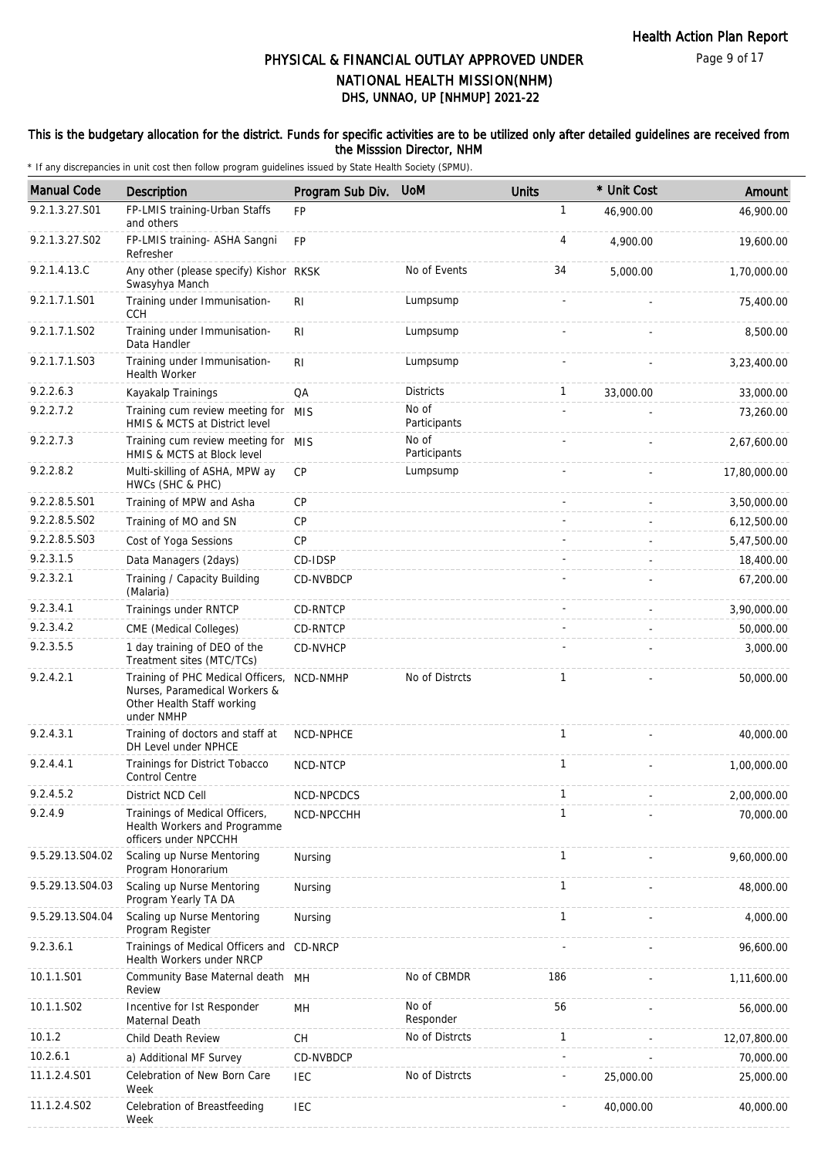#### This is the budgetary allocation for the district. Funds for specific activities are to be utilized only after detailed guidelines are received from the Misssion Director, NHM

| <b>Manual Code</b> | Description                                                                                                             | Program Sub Div. | <b>UoM</b>            | <b>Units</b> | * Unit Cost | Amount       |
|--------------------|-------------------------------------------------------------------------------------------------------------------------|------------------|-----------------------|--------------|-------------|--------------|
| 9.2.1.3.27.S01     | FP-LMIS training-Urban Staffs<br>and others                                                                             | FP               |                       | 1            | 46,900.00   | 46,900.00    |
| 9.2.1.3.27.S02     | FP-LMIS training- ASHA Sangni<br>Refresher                                                                              | <b>FP</b>        |                       | 4            | 4,900.00    | 19,600.00    |
| 9.2.1.4.13.C       | Any other (please specify) Kishor RKSK<br>Swasyhya Manch                                                                |                  | No of Events          | 34           | 5,000.00    | 1,70,000.00  |
| 9.2.1.7.1.S01      | Training under Immunisation-<br><b>CCH</b>                                                                              | R <sub>1</sub>   | Lumpsump              |              |             | 75,400.00    |
| 9.2.1.7.1.S02      | Training under Immunisation-<br>Data Handler                                                                            | R <sub>1</sub>   | Lumpsump              |              |             | 8,500.00     |
| 9.2.1.7.1.S03      | Training under Immunisation-<br><b>Health Worker</b>                                                                    | R <sub>1</sub>   | Lumpsump              |              |             | 3,23,400.00  |
| 9.2.2.6.3          | Kayakalp Trainings                                                                                                      | QA               | <b>Districts</b>      | $\mathbf{1}$ | 33,000.00   | 33,000.00    |
| 9.2.2.7.2          | Training cum review meeting for MIS<br>HMIS & MCTS at District level                                                    |                  | No of<br>Participants |              |             | 73,260.00    |
| 9.2.2.7.3          | Training cum review meeting for MIS<br>HMIS & MCTS at Block level                                                       |                  | No of<br>Participants |              |             | 2,67,600.00  |
| 9.2.2.8.2          | Multi-skilling of ASHA, MPW ay<br>HWCs (SHC & PHC)                                                                      | <b>CP</b>        | Lumpsump              |              |             | 17,80,000.00 |
| 9.2.2.8.5.S01      | Training of MPW and Asha                                                                                                | <b>CP</b>        |                       |              |             | 3,50,000.00  |
| 9.2.2.8.5.S02      | Training of MO and SN                                                                                                   | <b>CP</b>        |                       |              |             | 6,12,500.00  |
| 9.2.2.8.5.S03      | Cost of Yoga Sessions                                                                                                   | CP               |                       |              |             | 5,47,500.00  |
| 9.2.3.1.5          | Data Managers (2days)                                                                                                   | CD-IDSP          |                       |              |             | 18,400.00    |
| 9.2.3.2.1          | Training / Capacity Building<br>(Malaria)                                                                               | CD-NVBDCP        |                       |              |             | 67,200.00    |
| 9.2.3.4.1          | Trainings under RNTCP                                                                                                   | CD-RNTCP         |                       |              |             | 3,90,000.00  |
| 9.2.3.4.2          | CME (Medical Colleges)                                                                                                  | CD-RNTCP         |                       |              |             | 50,000.00    |
| 9.2.3.5.5          | 1 day training of DEO of the<br>Treatment sites (MTC/TCs)                                                               | CD-NVHCP         |                       |              |             | 3,000.00     |
| 9.2.4.2.1          | Training of PHC Medical Officers, NCD-NMHP<br>Nurses, Paramedical Workers &<br>Other Health Staff working<br>under NMHP |                  | No of Distrcts        | $\mathbf{1}$ |             | 50,000.00    |
| 9.2.4.3.1          | Training of doctors and staff at<br>DH Level under NPHCE                                                                | NCD-NPHCE        |                       | $\mathbf{1}$ |             | 40,000.00    |
| 9.2.4.4.1          | Trainings for District Tobacco<br><b>Control Centre</b>                                                                 | NCD-NTCP         |                       | $\mathbf{1}$ |             | 1,00,000.00  |
| 9.2.4.5.2          | District NCD Cell                                                                                                       | NCD-NPCDCS       |                       | $\mathbf 1$  |             | 2,00,000.00  |
| 9.2.4.9            | Trainings of Medical Officers,<br>Health Workers and Programme<br>officers under NPCCHH                                 | NCD-NPCCHH       |                       | 1            |             | 70,000.00    |
| 9.5.29.13.S04.02   | Scaling up Nurse Mentoring<br>Program Honorarium                                                                        | Nursing          |                       | $\mathbf{1}$ |             | 9,60,000.00  |
| 9.5.29.13.S04.03   | Scaling up Nurse Mentoring<br>Program Yearly TA DA                                                                      | Nursing          |                       | $\mathbf{1}$ |             | 48,000.00    |
| 9.5.29.13.S04.04   | Scaling up Nurse Mentoring<br>Program Register                                                                          | Nursing          |                       | $\mathbf{1}$ |             | 4,000.00     |
| 9.2.3.6.1          | Trainings of Medical Officers and CD-NRCP<br>Health Workers under NRCP                                                  |                  |                       |              |             | 96,600.00    |
| 10.1.1.S01         | Community Base Maternal death MH<br>Review                                                                              |                  | No of CBMDR           | 186          |             | 1,11,600.00  |
| 10.1.1.S02         | Incentive for Ist Responder<br>Maternal Death                                                                           | MН               | No of<br>Responder    | 56           |             | 56,000.00    |
| 10.1.2             | Child Death Review                                                                                                      | <b>CH</b>        | No of Distrcts        | $\mathbf{1}$ |             | 12,07,800.00 |
| 10.2.6.1           | a) Additional MF Survey                                                                                                 | CD-NVBDCP        |                       |              |             | 70,000.00    |
| 11.1.2.4.S01       | Celebration of New Born Care<br>Week                                                                                    | <b>IEC</b>       | No of Distrcts        |              | 25,000.00   | 25,000.00    |
| 11.1.2.4.S02       | Celebration of Breastfeeding<br>Week                                                                                    | IEC              |                       |              | 40,000.00   | 40,000.00    |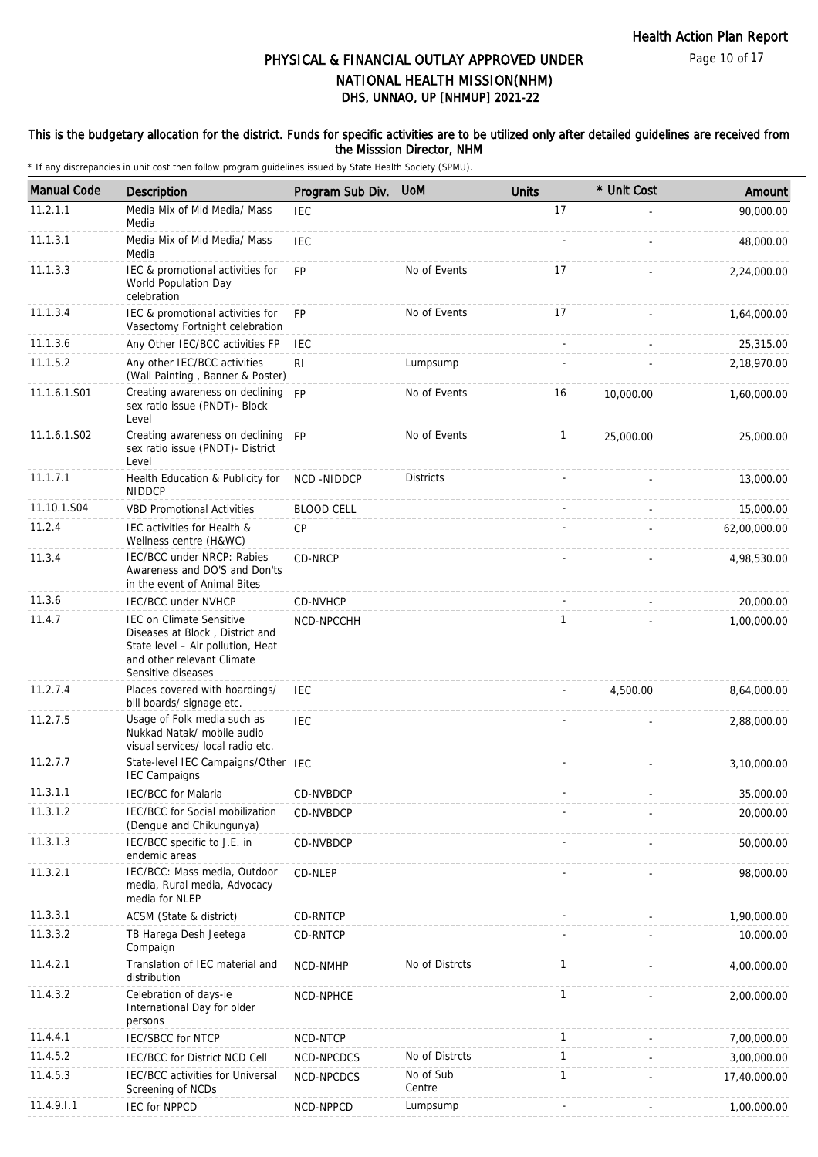#### This is the budgetary allocation for the district. Funds for specific activities are to be utilized only after detailed guidelines are received from the Misssion Director, NHM

| <b>Manual Code</b> | Description                                                                                                                                                 | Program Sub Div.  | <b>UoM</b>          | <b>Units</b> | * Unit Cost    | Amount       |
|--------------------|-------------------------------------------------------------------------------------------------------------------------------------------------------------|-------------------|---------------------|--------------|----------------|--------------|
| 11.2.1.1           | Media Mix of Mid Media/ Mass<br>Media                                                                                                                       | <b>IEC</b>        |                     | 17           |                | 90,000.00    |
| 11.1.3.1           | Media Mix of Mid Media/ Mass<br>Media                                                                                                                       | <b>IEC</b>        |                     |              |                | 48,000.00    |
| 11.1.3.3           | IEC & promotional activities for<br>World Population Day<br>celebration                                                                                     | <b>FP</b>         | No of Events        | 17           |                | 2,24,000.00  |
| 11.1.3.4           | IEC & promotional activities for<br>Vasectomy Fortnight celebration                                                                                         | <b>FP</b>         | No of Events        | 17           |                | 1,64,000.00  |
| 11.1.3.6           | Any Other IEC/BCC activities FP                                                                                                                             | <b>IEC</b>        |                     |              | $\overline{a}$ | 25,315.00    |
| 11.1.5.2           | Any other IEC/BCC activities<br>(Wall Painting, Banner & Poster)                                                                                            | R <sub>1</sub>    | Lumpsump            |              |                | 2,18,970.00  |
| 11.1.6.1.S01       | Creating awareness on declining FP<br>sex ratio issue (PNDT)- Block<br>Level                                                                                |                   | No of Events        | 16           | 10,000.00      | 1,60,000.00  |
| 11.1.6.1.S02       | Creating awareness on declining FP<br>sex ratio issue (PNDT)- District<br>Level                                                                             |                   | No of Events        | $\mathbf{1}$ | 25,000.00      | 25,000.00    |
| 11.1.7.1           | Health Education & Publicity for<br><b>NIDDCP</b>                                                                                                           | NCD-NIDDCP        | <b>Districts</b>    |              |                | 13,000.00    |
| 11.10.1.S04        | <b>VBD Promotional Activities</b>                                                                                                                           | <b>BLOOD CELL</b> |                     |              |                | 15,000.00    |
| 11.2.4             | IEC activities for Health &<br>Wellness centre (H&WC)                                                                                                       | CP                |                     |              |                | 62,00,000.00 |
| 11.3.4             | IEC/BCC under NRCP: Rabies<br>Awareness and DO'S and Don'ts<br>in the event of Animal Bites                                                                 | CD-NRCP           |                     |              |                | 4,98,530.00  |
| 11.3.6             | <b>IEC/BCC under NVHCP</b>                                                                                                                                  | <b>CD-NVHCP</b>   |                     |              |                | 20,000.00    |
| 11.4.7             | <b>IEC on Climate Sensitive</b><br>Diseases at Block, District and<br>State level - Air pollution, Heat<br>and other relevant Climate<br>Sensitive diseases | NCD-NPCCHH        |                     | $\mathbf{1}$ |                | 1,00,000.00  |
| 11.2.7.4           | Places covered with hoardings/<br>bill boards/ signage etc.                                                                                                 | <b>IEC</b>        |                     |              | 4,500.00       | 8,64,000.00  |
| 11.2.7.5           | Usage of Folk media such as<br>Nukkad Natak/ mobile audio<br>visual services/ local radio etc.                                                              | <b>IEC</b>        |                     |              |                | 2,88,000.00  |
| 11.2.7.7           | State-level IEC Campaigns/Other IEC<br><b>IEC Campaigns</b>                                                                                                 |                   |                     |              |                | 3,10,000.00  |
| 11.3.1.1           | IEC/BCC for Malaria                                                                                                                                         | CD-NVBDCP         |                     |              |                | 35,000.00    |
| 11.3.1.2           | IEC/BCC for Social mobilization<br>(Dengue and Chikungunya)                                                                                                 | CD-NVBDCP         |                     |              |                | 20,000.00    |
| 11.3.1.3           | IEC/BCC specific to J.E. in<br>endemic areas                                                                                                                | CD-NVBDCP         |                     |              |                | 50,000.00    |
| 11.3.2.1           | IEC/BCC: Mass media, Outdoor<br>media, Rural media, Advocacy<br>media for NLEP                                                                              | CD-NLEP           |                     |              |                | 98,000.00    |
| 11.3.3.1           | ACSM (State & district)                                                                                                                                     | CD-RNTCP          |                     |              |                | 1,90,000.00  |
| 11.3.3.2           | TB Harega Desh Jeetega<br>Compaign                                                                                                                          | <b>CD-RNTCP</b>   |                     |              |                | 10,000.00    |
| 11.4.2.1           | Translation of IEC material and<br>distribution                                                                                                             | NCD-NMHP          | No of Distrcts      | 1            |                | 4,00,000.00  |
| 11.4.3.2           | Celebration of days-ie<br>International Day for older<br>persons                                                                                            | NCD-NPHCE         |                     | $\mathbf{1}$ |                | 2,00,000.00  |
| 11.4.4.1           | <b>IEC/SBCC for NTCP</b>                                                                                                                                    | NCD-NTCP          |                     | 1            |                | 7,00,000.00  |
| 11.4.5.2           | IEC/BCC for District NCD Cell                                                                                                                               | NCD-NPCDCS        | No of Distrcts      | $\mathbf{1}$ |                | 3,00,000.00  |
| 11.4.5.3           | IEC/BCC activities for Universal<br>Screening of NCDs                                                                                                       | NCD-NPCDCS        | No of Sub<br>Centre | 1            |                | 17,40,000.00 |
| 11.4.9.1.1         | <b>IEC for NPPCD</b>                                                                                                                                        | NCD-NPPCD         | Lumpsump            |              |                | 1,00,000.00  |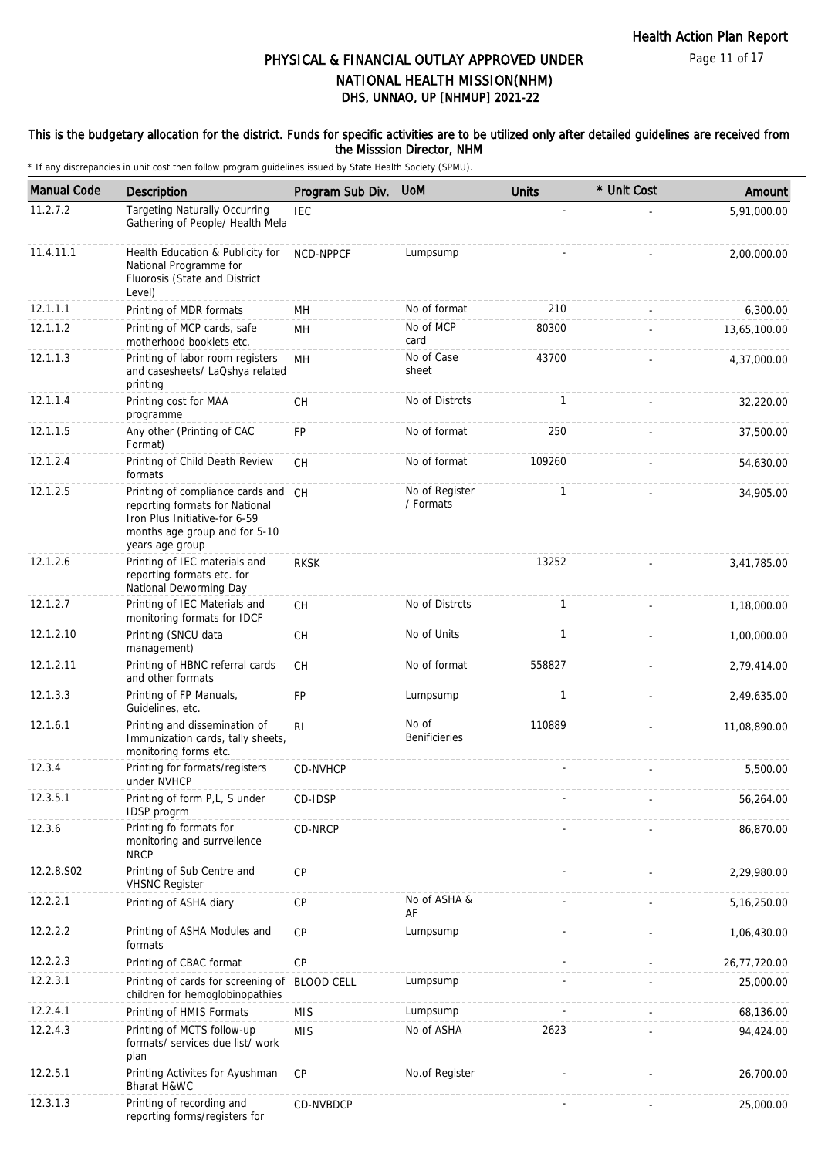Page 11 of 17

## DHS, UNNAO, UP [NHMUP] 2021-22 PHYSICAL & FINANCIAL OUTLAY APPROVED UNDER NATIONAL HEALTH MISSION(NHM)

#### This is the budgetary allocation for the district. Funds for specific activities are to be utilized only after detailed guidelines are received from the Misssion Director, NHM

| <b>Manual Code</b> | <b>Description</b>                                                                                                                                         | Program Sub Div.  | <b>UoM</b>                  | <b>Units</b> | * Unit Cost | Amount       |
|--------------------|------------------------------------------------------------------------------------------------------------------------------------------------------------|-------------------|-----------------------------|--------------|-------------|--------------|
| 11.2.7.2           | <b>Targeting Naturally Occurring</b><br>Gathering of People/ Health Mela                                                                                   | <b>IEC</b>        |                             |              |             | 5.91.000.00  |
| 11.4.11.1          | Health Education & Publicity for<br>National Programme for<br>Fluorosis (State and District<br>Level)                                                      | <b>NCD-NPPCF</b>  | Lumpsump                    |              |             | 2,00,000.00  |
| 12.1.1.1           | Printing of MDR formats                                                                                                                                    | MН                | No of format                | 210          |             | 6,300.00     |
| 12.1.1.2           | Printing of MCP cards, safe<br>motherhood booklets etc.                                                                                                    | MН                | No of MCP<br>card           | 80300        |             | 13,65,100.00 |
| 12.1.1.3           | Printing of labor room registers<br>and casesheets/ LaQshya related<br>printing                                                                            | MH                | No of Case<br>sheet         | 43700        |             | 4,37,000.00  |
| 12.1.1.4           | Printing cost for MAA<br>programme                                                                                                                         | CH                | No of Distrcts              | $\mathbf{1}$ |             | 32,220.00    |
| 12.1.1.5           | Any other (Printing of CAC<br>Format)                                                                                                                      | FP                | No of format                | 250          |             | 37,500.00    |
| 12.1.2.4           | Printing of Child Death Review<br>formats                                                                                                                  | СH                | No of format                | 109260       |             | 54,630.00    |
| 12.1.2.5           | Printing of compliance cards and CH<br>reporting formats for National<br>Iron Plus Initiative-for 6-59<br>months age group and for 5-10<br>years age group |                   | No of Register<br>/ Formats | $\mathbf{1}$ |             | 34,905.00    |
| 12.1.2.6           | Printing of IEC materials and<br>reporting formats etc. for<br>National Deworming Day                                                                      | <b>RKSK</b>       |                             | 13252        |             | 3,41,785.00  |
| 12.1.2.7           | Printing of IEC Materials and<br>monitoring formats for IDCF                                                                                               | CH                | No of Distrcts              | 1            |             | 1,18,000.00  |
| 12.1.2.10          | Printing (SNCU data<br>management)                                                                                                                         | <b>CH</b>         | No of Units                 | 1            |             | 1,00,000.00  |
| 12.1.2.11          | Printing of HBNC referral cards<br>and other formats                                                                                                       | CH                | No of format                | 558827       |             | 2,79,414.00  |
| 12.1.3.3           | Printing of FP Manuals,<br>Guidelines, etc.                                                                                                                | FP                | Lumpsump                    | 1            |             | 2,49,635.00  |
| 12.1.6.1           | Printing and dissemination of<br>Immunization cards, tally sheets,<br>monitoring forms etc.                                                                | RI                | No of<br>Benificieries      | 110889       |             | 11,08,890.00 |
| 12.3.4             | Printing for formats/registers<br>under NVHCP                                                                                                              | CD-NVHCP          |                             |              |             | 5,500.00     |
| 12.3.5.1           | Printing of form P,L, S under<br>IDSP progrm                                                                                                               | CD-IDSP           |                             |              |             | 56,264.00    |
| 12.3.6             | Printing fo formats for<br>monitoring and surrveilence<br><b>NRCP</b>                                                                                      | CD-NRCP           |                             |              |             | 86,870.00    |
| 12.2.8.S02         | Printing of Sub Centre and<br><b>VHSNC Register</b>                                                                                                        | <b>CP</b>         |                             |              |             | 2,29,980.00  |
| 12.2.2.1           | Printing of ASHA diary                                                                                                                                     | CP                | No of ASHA &<br>AF          |              |             | 5,16,250.00  |
| 12.2.2.2           | Printing of ASHA Modules and<br>formats                                                                                                                    | CP                | Lumpsump                    |              |             | 1,06,430.00  |
| 12.2.2.3           | Printing of CBAC format                                                                                                                                    | CP                |                             |              |             | 26,77,720.00 |
| 12.2.3.1           | Printing of cards for screening of<br>children for hemoglobinopathies                                                                                      | <b>BLOOD CELL</b> | Lumpsump                    |              |             | 25,000.00    |
| 12.2.4.1           | Printing of HMIS Formats                                                                                                                                   | <b>MIS</b>        | Lumpsump                    |              |             | 68,136.00    |
| 12.2.4.3           | Printing of MCTS follow-up<br>formats/ services due list/ work<br>plan                                                                                     | <b>MIS</b>        | No of ASHA                  | 2623         |             | 94,424.00    |
| 12.2.5.1           | Printing Activites for Ayushman<br>Bharat H&WC                                                                                                             | CP                | No.of Register              |              |             | 26,700.00    |
| 12.3.1.3           | Printing of recording and<br>reporting forms/registers for                                                                                                 | CD-NVBDCP         |                             |              |             | 25,000.00    |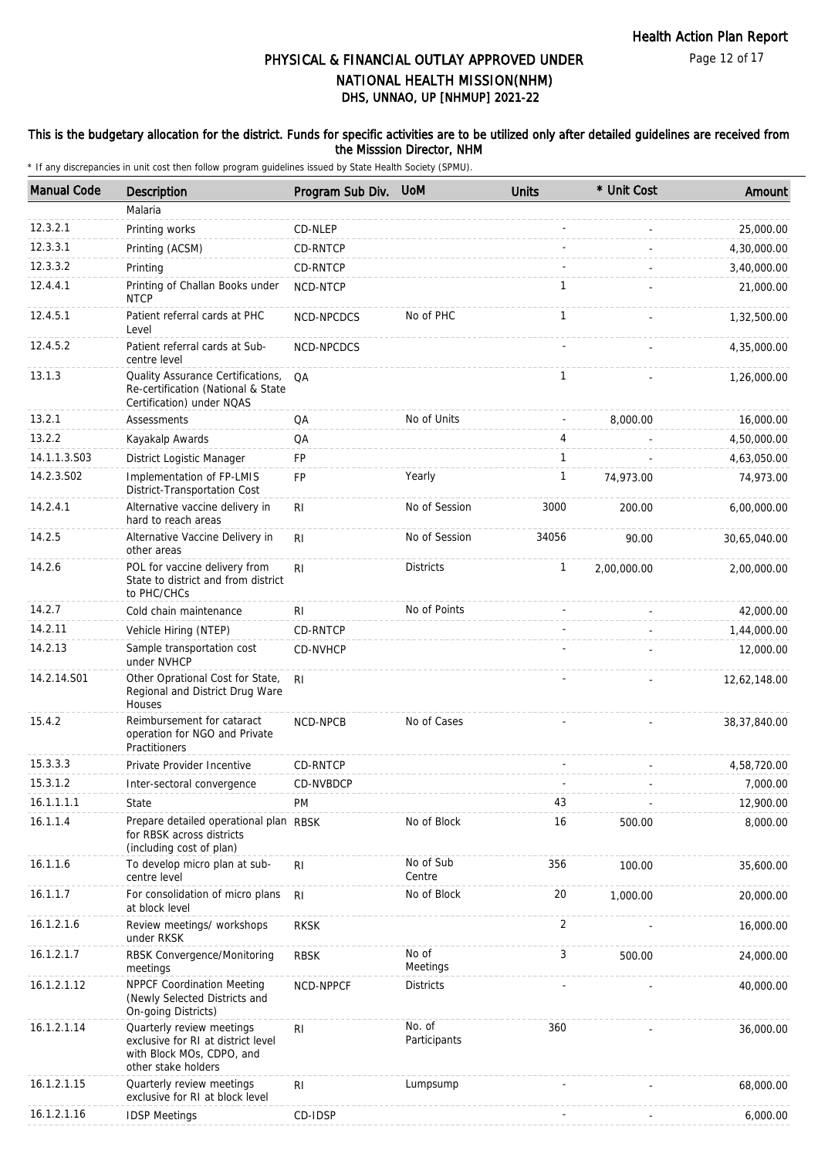#### This is the budgetary allocation for the district. Funds for specific activities are to be utilized only after detailed guidelines are received from the Misssion Director, NHM

| <b>Manual Code</b> | Description                                                                                                         | Program Sub Div. | <b>UoM</b>             | <b>Units</b>   | * Unit Cost | Amount       |
|--------------------|---------------------------------------------------------------------------------------------------------------------|------------------|------------------------|----------------|-------------|--------------|
|                    | Malaria                                                                                                             |                  |                        |                |             |              |
| 12.3.2.1           | Printing works                                                                                                      | CD-NLEP          |                        |                |             | 25,000.00    |
| 12.3.3.1           | Printing (ACSM)                                                                                                     | CD-RNTCP         |                        |                |             | 4,30,000.00  |
| 12.3.3.2           | Printing                                                                                                            | CD-RNTCP         |                        |                |             | 3,40,000.00  |
| 12.4.4.1           | Printing of Challan Books under<br><b>NTCP</b>                                                                      | NCD-NTCP         |                        | 1              |             | 21,000.00    |
| 12.4.5.1           | Patient referral cards at PHC<br>Level                                                                              | NCD-NPCDCS       | No of PHC              | $\mathbf{1}$   |             | 1,32,500.00  |
| 12.4.5.2           | Patient referral cards at Sub-<br>centre level                                                                      | NCD-NPCDCS       |                        |                |             | 4,35,000.00  |
| 13.1.3             | Quality Assurance Certifications,<br>Re-certification (National & State<br>Certification) under NQAS                | QA               |                        | $\mathbf{1}$   |             | 1,26,000.00  |
| 13.2.1             | <b>Assessments</b>                                                                                                  | QA               | No of Units            | $\overline{a}$ | 8,000.00    | 16,000.00    |
| 13.2.2             | Kayakalp Awards                                                                                                     | QA               |                        | 4              |             | 4,50,000.00  |
| 14.1.1.3.S03       | District Logistic Manager                                                                                           | FP               |                        | $\mathbf{1}$   |             | 4,63,050.00  |
| 14.2.3.S02         | Implementation of FP-LMIS<br>District-Transportation Cost                                                           | FP               | Yearly                 | 1              | 74,973.00   | 74,973.00    |
| 14.2.4.1           | Alternative vaccine delivery in<br>hard to reach areas                                                              | R <sub>l</sub>   | No of Session          | 3000           | 200.00      | 6,00,000.00  |
| 14.2.5             | Alternative Vaccine Delivery in<br>other areas                                                                      | R <sub>l</sub>   | No of Session          | 34056          | 90.00       | 30,65,040.00 |
| 14.2.6             | POL for vaccine delivery from<br>State to district and from district<br>to PHC/CHCs                                 | RI               | <b>Districts</b>       | $\mathbf{1}$   | 2,00,000.00 | 2,00,000.00  |
| 14.2.7             | Cold chain maintenance                                                                                              | RI               | No of Points           |                |             | 42,000.00    |
| 14.2.11            | Vehicle Hiring (NTEP)                                                                                               | CD-RNTCP         |                        |                |             | 1,44,000.00  |
| 14.2.13            | Sample transportation cost<br>under NVHCP                                                                           | CD-NVHCP         |                        |                |             | 12,000.00    |
| 14.2.14.S01        | Other Oprational Cost for State,<br>Regional and District Drug Ware<br>Houses                                       | RI.              |                        |                |             | 12,62,148.00 |
| 15.4.2             | Reimbursement for cataract<br>operation for NGO and Private<br>Practitioners                                        | NCD-NPCB         | No of Cases            |                |             | 38,37,840.00 |
| 15.3.3.3           | Private Provider Incentive                                                                                          | CD-RNTCP         |                        |                |             | 4,58,720.00  |
| 15.3.1.2           | Inter-sectoral convergence                                                                                          | CD-NVBDCP        |                        |                |             | 7,000.00     |
| 16.1.1.1.1         | State                                                                                                               | PM               |                        | 43             |             | 12,900.00    |
| 16.1.1.4           | Prepare detailed operational plan RBSK<br>for RBSK across districts<br>(including cost of plan)                     |                  | No of Block            | 16             | 500.00      | 8,000.00     |
| 16.1.1.6           | To develop micro plan at sub-<br>centre level                                                                       | RI               | No of Sub<br>Centre    | 356            | 100.00      | 35,600.00    |
| 16.1.1.7           | For consolidation of micro plans<br>at block level                                                                  | R <sub>l</sub>   | No of Block            | 20             | 1,000.00    | 20,000.00    |
| 16.1.2.1.6         | Review meetings/ workshops<br>under RKSK                                                                            | <b>RKSK</b>      |                        | 2              |             | 16,000.00    |
| 16.1.2.1.7         | RBSK Convergence/Monitoring<br>meetings                                                                             | <b>RBSK</b>      | No of<br>Meetings      | 3              | 500.00      | 24,000.00    |
| 16.1.2.1.12        | NPPCF Coordination Meeting<br>(Newly Selected Districts and<br>On-going Districts)                                  | NCD-NPPCF        | <b>Districts</b>       |                |             | 40,000.00    |
| 16.1.2.1.14        | Quarterly review meetings<br>exclusive for RI at district level<br>with Block MOs, CDPO, and<br>other stake holders | RI               | No. of<br>Participants | 360            |             | 36,000.00    |
| 16.1.2.1.15        | Quarterly review meetings<br>exclusive for RI at block level                                                        | R <sub>l</sub>   | Lumpsump               |                |             | 68,000.00    |
| 16.1.2.1.16        | <b>IDSP Meetings</b>                                                                                                | CD-IDSP          |                        |                |             | 6,000.00     |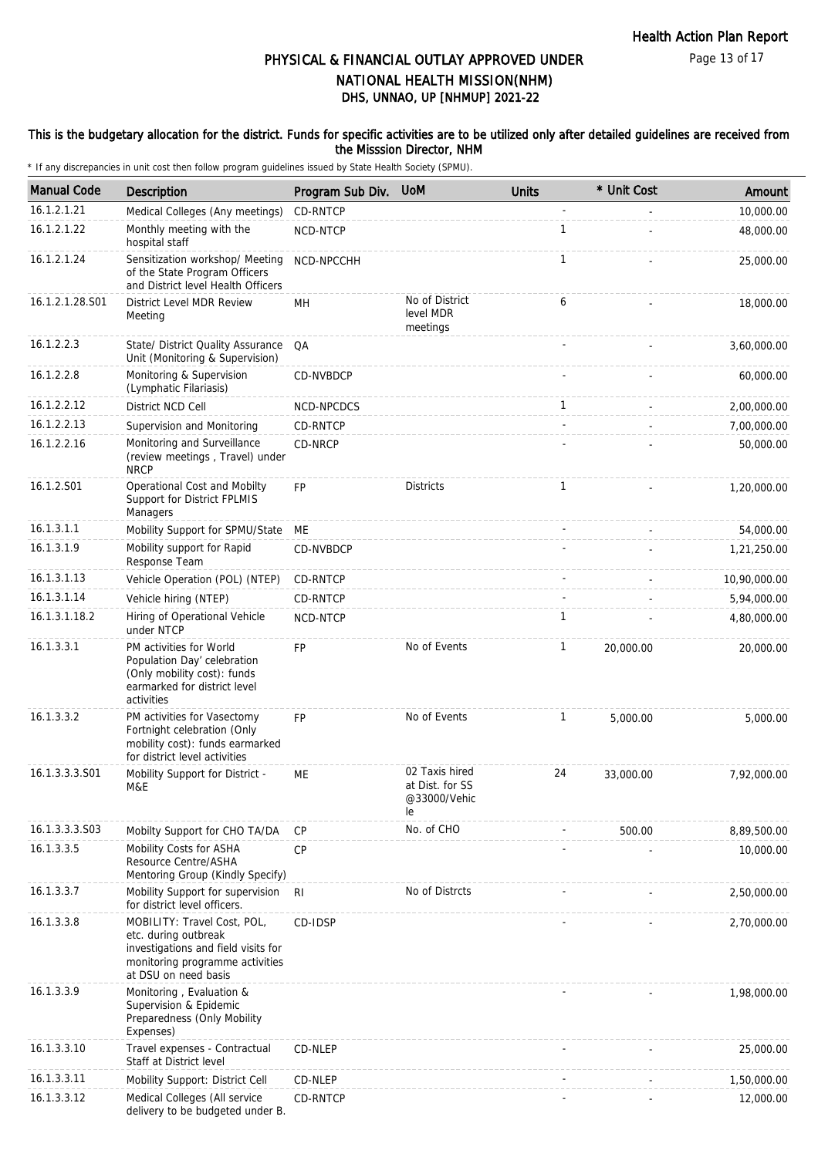Page 13 of 17

## DHS, UNNAO, UP [NHMUP] 2021-22 PHYSICAL & FINANCIAL OUTLAY APPROVED UNDER NATIONAL HEALTH MISSION(NHM)

#### This is the budgetary allocation for the district. Funds for specific activities are to be utilized only after detailed guidelines are received from the Misssion Director, NHM

| <b>Manual Code</b> | <b>Description</b>                                                                                                                                    | Program Sub Div. | <b>UoM</b>                                              | <b>Units</b> | * Unit Cost | Amount       |
|--------------------|-------------------------------------------------------------------------------------------------------------------------------------------------------|------------------|---------------------------------------------------------|--------------|-------------|--------------|
| 16.1.2.1.21        | Medical Colleges (Any meetings)                                                                                                                       | CD-RNTCP         |                                                         |              |             | 10,000.00    |
| 16.1.2.1.22        | Monthly meeting with the<br>hospital staff                                                                                                            | NCD-NTCP         |                                                         | $\mathbf{1}$ |             | 48,000.00    |
| 16.1.2.1.24        | Sensitization workshop/ Meeting<br>of the State Program Officers<br>and District level Health Officers                                                | NCD-NPCCHH       |                                                         | $\mathbf{1}$ |             | 25,000.00    |
| 16.1.2.1.28.S01    | District Level MDR Review<br>Meeting                                                                                                                  | MН               | No of District<br>level MDR<br>meetings                 | 6            |             | 18,000.00    |
| 16.1.2.2.3         | State/ District Quality Assurance<br>Unit (Monitoring & Supervision)                                                                                  | QA               |                                                         |              |             | 3,60,000.00  |
| 16.1.2.2.8         | Monitoring & Supervision<br>(Lymphatic Filariasis)                                                                                                    | CD-NVBDCP        |                                                         |              |             | 60,000.00    |
| 16.1.2.2.12        | District NCD Cell                                                                                                                                     | NCD-NPCDCS       |                                                         | $\mathbf{1}$ |             | 2,00,000.00  |
| 16.1.2.2.13        | Supervision and Monitoring                                                                                                                            | CD-RNTCP         |                                                         |              |             | 7,00,000.00  |
| 16.1.2.2.16        | Monitoring and Surveillance<br>(review meetings, Travel) under<br><b>NRCP</b>                                                                         | CD-NRCP          |                                                         |              |             | 50,000.00    |
| 16.1.2.S01         | Operational Cost and Mobilty<br>Support for District FPLMIS<br>Managers                                                                               | <b>FP</b>        | <b>Districts</b>                                        | $\mathbf{1}$ |             | 1,20,000.00  |
| 16.1.3.1.1         | Mobility Support for SPMU/State                                                                                                                       | МE               |                                                         |              |             | 54,000.00    |
| 16.1.3.1.9         | Mobility support for Rapid<br>Response Team                                                                                                           | CD-NVBDCP        |                                                         |              |             | 1,21,250.00  |
| 16.1.3.1.13        | Vehicle Operation (POL) (NTEP)                                                                                                                        | CD-RNTCP         |                                                         |              |             | 10,90,000.00 |
| 16.1.3.1.14        | Vehicle hiring (NTEP)                                                                                                                                 | CD-RNTCP         |                                                         |              |             | 5,94,000.00  |
| 16.1.3.1.18.2      | Hiring of Operational Vehicle<br>under NTCP                                                                                                           | NCD-NTCP         |                                                         | 1            |             | 4,80,000.00  |
| 16.1.3.3.1         | PM activities for World<br>Population Day' celebration<br>(Only mobility cost): funds<br>earmarked for district level<br>activities                   | <b>FP</b>        | No of Events                                            | $\mathbf{1}$ | 20,000.00   | 20,000.00    |
| 16.1.3.3.2         | PM activities for Vasectomy<br>Fortnight celebration (Only<br>mobility cost): funds earmarked<br>for district level activities                        | <b>FP</b>        | No of Events                                            | $\mathbf{1}$ | 5,000.00    | 5,000.00     |
| 16.1.3.3.3.S01     | Mobility Support for District -<br>M&E                                                                                                                | МE               | 02 Taxis hired<br>at Dist. for SS<br>@33000/Vehic<br>le | 24           | 33,000.00   | 7,92,000.00  |
| 16.1.3.3.3.S03     | Mobilty Support for CHO TA/DA                                                                                                                         | <b>CP</b>        | No. of CHO                                              |              | 500.00      | 8,89,500.00  |
| 16.1.3.3.5         | Mobility Costs for ASHA<br>Resource Centre/ASHA<br>Mentoring Group (Kindly Specify)                                                                   | <b>CP</b>        |                                                         |              |             | 10,000.00    |
| 16.1.3.3.7         | Mobility Support for supervision<br>for district level officers.                                                                                      | R <sub>l</sub>   | No of Distrcts                                          |              |             | 2,50,000.00  |
| 16.1.3.3.8         | MOBILITY: Travel Cost, POL,<br>etc. during outbreak<br>investigations and field visits for<br>monitoring programme activities<br>at DSU on need basis | CD-IDSP          |                                                         |              |             | 2,70,000.00  |
| 16.1.3.3.9         | Monitoring, Evaluation &<br>Supervision & Epidemic<br>Preparedness (Only Mobility<br>Expenses)                                                        |                  |                                                         |              |             | 1,98,000.00  |
| 16.1.3.3.10        | Travel expenses - Contractual<br>Staff at District level                                                                                              | CD-NLEP          |                                                         |              |             | 25,000.00    |
| 16.1.3.3.11        | Mobility Support: District Cell                                                                                                                       | CD-NLEP          |                                                         |              |             | 1,50,000.00  |
| 16.1.3.3.12        | Medical Colleges (All service<br>delivery to be budgeted under B.                                                                                     | CD-RNTCP         |                                                         |              |             | 12,000.00    |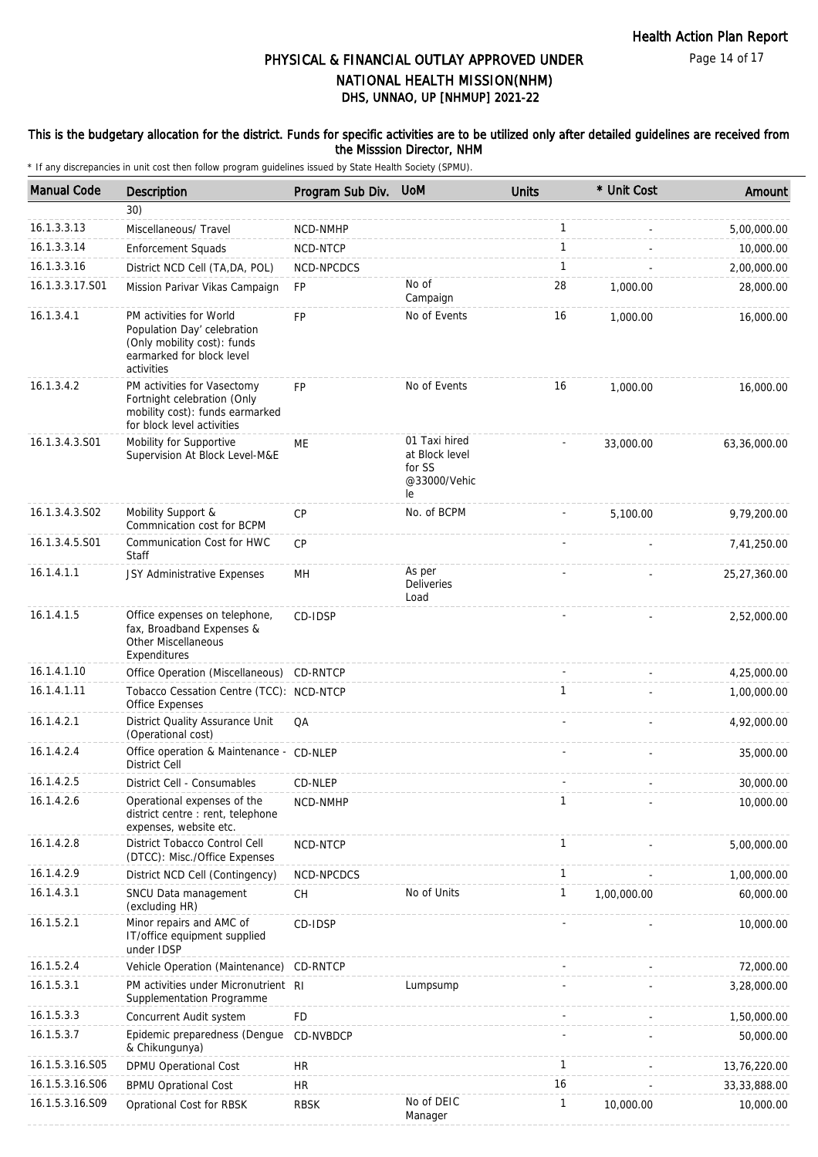#### This is the budgetary allocation for the district. Funds for specific activities are to be utilized only after detailed guidelines are received from the Misssion Director, NHM

| <b>Manual Code</b> | Description                                                                                                                      | Program Sub Div. UoM |                                                                 | <b>Units</b> | * Unit Cost | Amount         |
|--------------------|----------------------------------------------------------------------------------------------------------------------------------|----------------------|-----------------------------------------------------------------|--------------|-------------|----------------|
|                    | 30)                                                                                                                              |                      |                                                                 |              |             |                |
| 16.1.3.3.13        | Miscellaneous/ Travel                                                                                                            | NCD-NMHP             |                                                                 | $\mathbf{1}$ |             | 5,00,000.00    |
| 16.1.3.3.14        | <b>Enforcement Squads</b>                                                                                                        | NCD-NTCP             |                                                                 | $\mathbf{1}$ |             | 10,000.00      |
| 16.1.3.3.16        | District NCD Cell (TA, DA, POL)                                                                                                  | NCD-NPCDCS           |                                                                 | $\mathbf{1}$ |             | 2,00,000.00    |
| 16.1.3.3.17.S01    | Mission Parivar Vikas Campaign                                                                                                   | FP                   | No of<br>Campaign                                               | 28           | 1,000.00    | 28,000.00      |
| 16.1.3.4.1         | PM activities for World<br>Population Day' celebration<br>(Only mobility cost): funds<br>earmarked for block level<br>activities | <b>FP</b>            | No of Events                                                    | 16           | 1,000.00    | 16,000.00      |
| 16.1.3.4.2         | PM activities for Vasectomy<br>Fortnight celebration (Only<br>mobility cost): funds earmarked<br>for block level activities      | FP                   | No of Events                                                    | 16           | 1,000.00    | 16,000.00      |
| 16.1.3.4.3.S01     | Mobility for Supportive<br>Supervision At Block Level-M&E                                                                        | МE                   | 01 Taxi hired<br>at Block level<br>for SS<br>@33000/Vehic<br>le |              | 33,000.00   | 63,36,000.00   |
| 16.1.3.4.3.S02     | Mobility Support &<br>Commnication cost for BCPM                                                                                 | <b>CP</b>            | No. of BCPM                                                     |              | 5,100.00    | 9,79,200.00    |
| 16.1.3.4.5.S01     | Communication Cost for HWC<br>Staff                                                                                              | <b>CP</b>            |                                                                 |              |             | 7,41,250.00    |
| 16.1.4.1.1         | JSY Administrative Expenses                                                                                                      | MH                   | As per<br><b>Deliveries</b><br>Load                             |              |             | 25,27,360.00   |
| 16.1.4.1.5         | Office expenses on telephone,<br>fax, Broadband Expenses &<br>Other Miscellaneous<br>Expenditures                                | CD-IDSP              |                                                                 |              |             | 2,52,000.00    |
| 16.1.4.1.10        | Office Operation (Miscellaneous)                                                                                                 | CD-RNTCP             |                                                                 |              |             | 4,25,000.00    |
| 16.1.4.1.11        | Tobacco Cessation Centre (TCC): NCD-NTCP<br>Office Expenses                                                                      |                      |                                                                 | $\mathbf{1}$ |             | 1,00,000.00    |
| 16.1.4.2.1         | District Quality Assurance Unit<br>(Operational cost)                                                                            | QA                   |                                                                 |              |             | 4,92,000.00    |
| 16.1.4.2.4         | Office operation & Maintenance - CD-NLEP<br><b>District Cell</b>                                                                 |                      |                                                                 |              |             | 35,000.00      |
| 16.1.4.2.5         | District Cell - Consumables                                                                                                      | CD-NLEP              |                                                                 |              |             | 30,000.00      |
| 16.1.4.2.6         | Operational expenses of the<br>district centre : rent, telephone<br>expenses, website etc.                                       | NCD-NMHP             |                                                                 | 1            |             | 10,000.00      |
| 16.1.4.2.8         | District Tobacco Control Cell<br>(DTCC): Misc./Office Expenses                                                                   | NCD-NTCP             |                                                                 | $\mathbf{1}$ |             | 5,00,000.00    |
| 16.1.4.2.9         | District NCD Cell (Contingency)                                                                                                  | NCD-NPCDCS           |                                                                 | $\mathbf{1}$ |             | 1,00,000.00    |
| 16.1.4.3.1         | SNCU Data management<br>(excluding HR)                                                                                           | <b>CH</b>            | No of Units                                                     | 1            | 1,00,000.00 | 60,000.00      |
| 16.1.5.2.1         | Minor repairs and AMC of<br>IT/office equipment supplied<br>under IDSP                                                           | CD-IDSP              |                                                                 |              |             | 10,000.00      |
| 16.1.5.2.4         | Vehicle Operation (Maintenance)                                                                                                  | CD-RNTCP             |                                                                 |              |             | 72,000.00      |
| 16.1.5.3.1         | PM activities under Micronutrient RI<br>Supplementation Programme                                                                |                      | Lumpsump                                                        |              |             | 3,28,000.00    |
| 16.1.5.3.3         | Concurrent Audit system                                                                                                          | <b>FD</b>            |                                                                 |              |             | 1,50,000.00    |
| 16.1.5.3.7         | Epidemic preparedness (Dengue<br>& Chikungunya)                                                                                  | CD-NVBDCP            |                                                                 |              |             | 50,000.00      |
| 16.1.5.3.16.S05    | DPMU Operational Cost                                                                                                            | <b>HR</b>            |                                                                 | $\mathbf{1}$ |             | 13,76,220.00   |
| 16.1.5.3.16.S06    | <b>BPMU Oprational Cost</b>                                                                                                      | <b>HR</b>            |                                                                 | 16           |             | 33, 33, 888.00 |
| 16.1.5.3.16.S09    | Oprational Cost for RBSK                                                                                                         | <b>RBSK</b>          | No of DEIC<br>Manager                                           | 1            | 10,000.00   | 10,000.00      |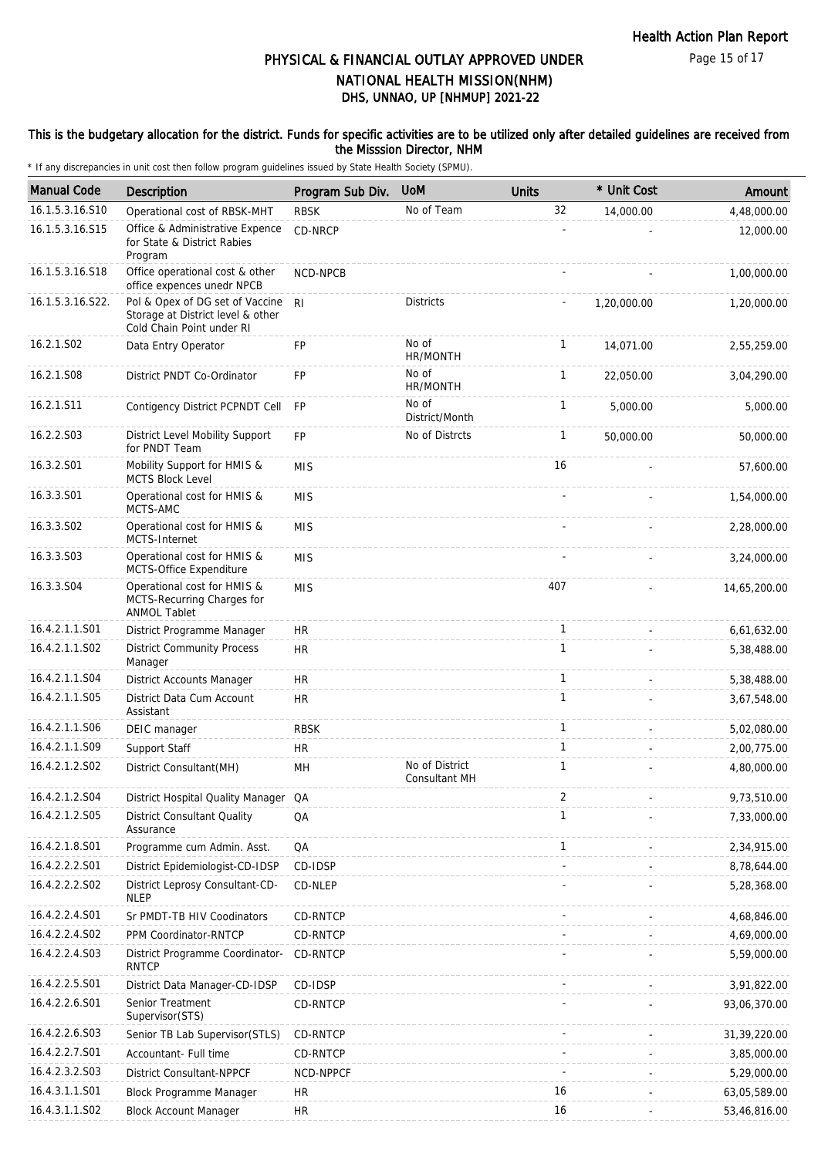#### This is the budgetary allocation for the district. Funds for specific activities are to be utilized only after detailed guidelines are received from the Misssion Director, NHM

| <b>Manual Code</b> | Description                                                                                       | Program Sub Div. | <b>UoM</b>                      | <b>Units</b> | * Unit Cost | Amount       |
|--------------------|---------------------------------------------------------------------------------------------------|------------------|---------------------------------|--------------|-------------|--------------|
| 16.1.5.3.16.S10    | Operational cost of RBSK-MHT                                                                      | <b>RBSK</b>      | No of Team                      | 32           | 14,000.00   | 4,48,000.00  |
| 16.1.5.3.16.S15    | Office & Administrative Expence<br>for State & District Rabies<br>Program                         | CD-NRCP          |                                 |              |             | 12,000.00    |
| 16.1.5.3.16.S18    | Office operational cost & other<br>office expences unedr NPCB                                     | NCD-NPCB         |                                 |              |             | 1,00,000.00  |
| 16.1.5.3.16.S22.   | Pol & Opex of DG set of Vaccine<br>Storage at District level & other<br>Cold Chain Point under RI | R <sub>l</sub>   | <b>Districts</b>                |              | 1,20,000.00 | 1,20,000.00  |
| 16.2.1.S02         | Data Entry Operator                                                                               | FP               | No of<br>HR/MONTH               | $\mathbf{1}$ | 14,071.00   | 2,55,259.00  |
| 16.2.1.S08         | District PNDT Co-Ordinator                                                                        | <b>FP</b>        | No of<br>HR/MONTH               | $\mathbf{1}$ | 22,050.00   | 3,04,290.00  |
| 16.2.1.S11         | Contigency District PCPNDT Cell                                                                   | <b>FP</b>        | No of<br>District/Month         | $\mathbf{1}$ | 5,000.00    | 5,000.00     |
| 16.2.2.S03         | District Level Mobility Support<br>for PNDT Team                                                  | <b>FP</b>        | No of Distrcts                  | $\mathbf{1}$ | 50,000.00   | 50,000.00    |
| 16.3.2.S01         | Mobility Support for HMIS &<br>MCTS Block Level                                                   | <b>MIS</b>       |                                 | 16           |             | 57,600.00    |
| 16.3.3.S01         | Operational cost for HMIS &<br>MCTS-AMC                                                           | <b>MIS</b>       |                                 |              |             | 1,54,000.00  |
| 16.3.3.S02         | Operational cost for HMIS &<br>MCTS-Internet                                                      | <b>MIS</b>       |                                 |              |             | 2,28,000.00  |
| 16.3.3.S03         | Operational cost for HMIS &<br>MCTS-Office Expenditure                                            | <b>MIS</b>       |                                 |              |             | 3,24,000.00  |
| 16.3.3.S04         | Operational cost for HMIS &<br>MCTS-Recurring Charges for<br><b>ANMOL Tablet</b>                  | <b>MIS</b>       |                                 | 407          |             | 14,65,200.00 |
| 16.4.2.1.1.S01     | District Programme Manager                                                                        | <b>HR</b>        |                                 | $\mathbf{1}$ |             | 6,61,632.00  |
| 16.4.2.1.1.S02     | <b>District Community Process</b><br>Manager                                                      | <b>HR</b>        |                                 | $\mathbf{1}$ |             | 5,38,488.00  |
| 16.4.2.1.1.S04     | District Accounts Manager                                                                         | <b>HR</b>        |                                 | $\mathbf{1}$ |             | 5,38,488.00  |
| 16.4.2.1.1.S05     | District Data Cum Account<br>Assistant                                                            | <b>HR</b>        |                                 | 1            |             | 3,67,548.00  |
| 16.4.2.1.1.S06     | DEIC manager                                                                                      | <b>RBSK</b>      |                                 | $\mathbf{1}$ |             | 5,02,080.00  |
| 16.4.2.1.1.S09     | Support Staff                                                                                     | <b>HR</b>        |                                 | $\mathbf{1}$ |             | 2,00,775.00  |
| 16.4.2.1.2.S02     | District Consultant (MH)                                                                          | MH               | No of District<br>Consultant MH | $\mathbf{1}$ |             | 4,80,000.00  |
| 16.4.2.1.2.S04     | District Hospital Quality Manager QA                                                              |                  |                                 | 2            |             | 9,73,510.00  |
| 16.4.2.1.2.S05     | <b>District Consultant Quality</b><br>Assurance                                                   | QA               |                                 | $\mathbf{1}$ |             | 7,33,000.00  |
| 16.4.2.1.8.S01     | Programme cum Admin. Asst.                                                                        | QA               |                                 | $\mathbf{1}$ |             | 2,34,915.00  |
| 16.4.2.2.2.S01     | District Epidemiologist-CD-IDSP                                                                   | CD-IDSP          |                                 |              |             | 8,78,644.00  |
| 16.4.2.2.2.S02     | District Leprosy Consultant-CD-<br><b>NLEP</b>                                                    | CD-NLEP          |                                 |              |             | 5,28,368.00  |
| 16.4.2.2.4.S01     | Sr PMDT-TB HIV Coodinators                                                                        | CD-RNTCP         |                                 |              |             | 4,68,846.00  |
| 16.4.2.2.4.S02     | PPM Coordinator-RNTCP                                                                             | CD-RNTCP         |                                 |              |             | 4,69,000.00  |
| 16.4.2.2.4.S03     | District Programme Coordinator-<br><b>RNTCP</b>                                                   | CD-RNTCP         |                                 |              |             | 5,59,000.00  |
| 16.4.2.2.5.S01     | District Data Manager-CD-IDSP                                                                     | CD-IDSP          |                                 |              |             | 3,91,822.00  |
| 16.4.2.2.6.S01     | Senior Treatment<br>Supervisor(STS)                                                               | CD-RNTCP         |                                 |              |             | 93,06,370.00 |
| 16.4.2.2.6.S03     | Senior TB Lab Supervisor(STLS)                                                                    | <b>CD-RNTCP</b>  |                                 |              |             | 31,39,220.00 |
| 16.4.2.2.7.S01     | Accountant- Full time                                                                             | CD-RNTCP         |                                 |              |             | 3,85,000.00  |
| 16.4.2.3.2.S03     | <b>District Consultant-NPPCF</b>                                                                  | NCD-NPPCF        |                                 |              |             | 5,29,000.00  |
| 16.4.3.1.1.S01     | Block Programme Manager                                                                           | HR               |                                 | 16           |             | 63,05,589.00 |
| 16.4.3.1.1.S02     | <b>Block Account Manager</b>                                                                      | <b>HR</b>        |                                 | 16           |             | 53,46,816.00 |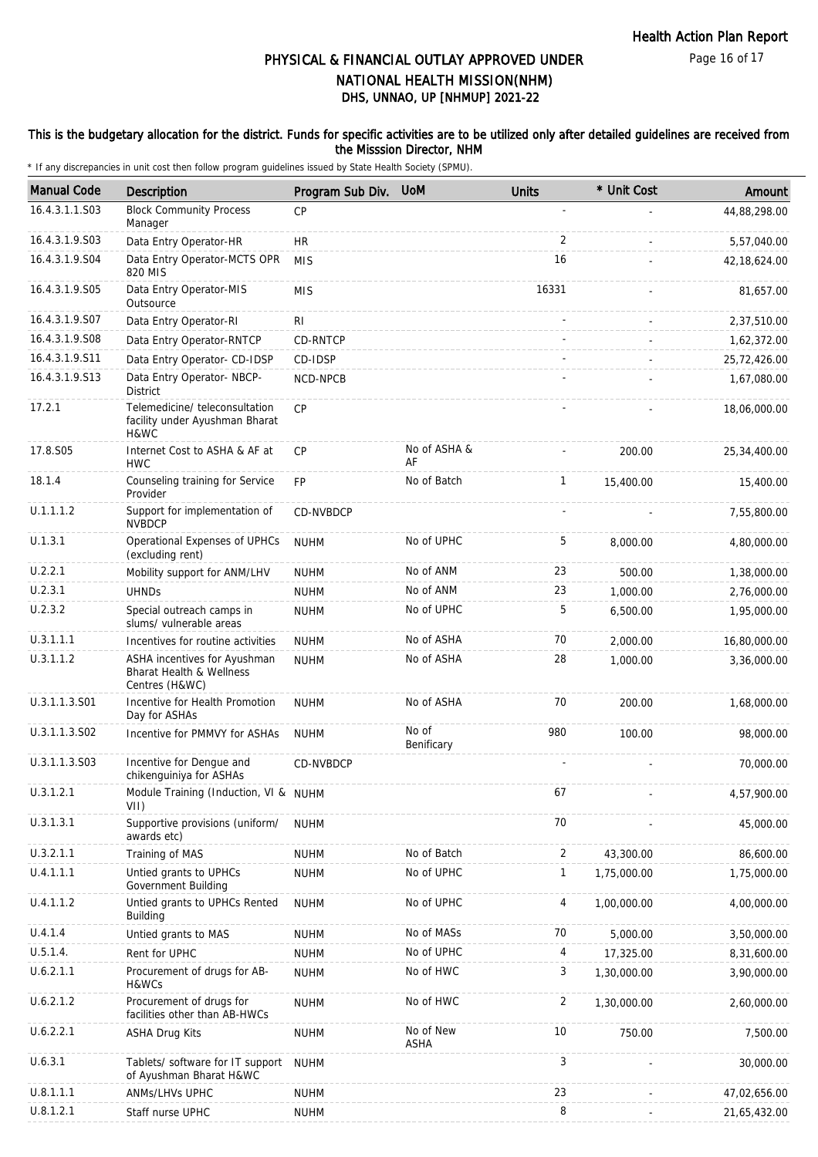#### This is the budgetary allocation for the district. Funds for specific activities are to be utilized only after detailed guidelines are received from the Misssion Director, NHM

| <b>Manual Code</b> | <b>Description</b>                                                         | Program Sub Div. | <b>UoM</b>               | <b>Units</b>   | * Unit Cost | Amount         |
|--------------------|----------------------------------------------------------------------------|------------------|--------------------------|----------------|-------------|----------------|
| 16.4.3.1.1.S03     | <b>Block Community Process</b>                                             | <b>CP</b>        |                          |                |             | 44,88,298.00   |
| 16.4.3.1.9.S03     | Manager<br>Data Entry Operator-HR                                          | <b>HR</b>        |                          | 2              |             | 5,57,040.00    |
| 16.4.3.1.9.S04     | Data Entry Operator-MCTS OPR<br>820 MIS                                    | <b>MIS</b>       |                          | 16             |             | 42, 18, 624.00 |
| 16.4.3.1.9.S05     | Data Entry Operator-MIS<br>Outsource                                       | <b>MIS</b>       |                          | 16331          |             | 81,657.00      |
| 16.4.3.1.9.S07     | Data Entry Operator-RI                                                     | <b>RI</b>        |                          |                |             | 2,37,510.00    |
| 16.4.3.1.9.S08     | Data Entry Operator-RNTCP                                                  | CD-RNTCP         |                          |                |             | 1,62,372.00    |
| 16.4.3.1.9.S11     | Data Entry Operator- CD-IDSP                                               | CD-IDSP          |                          |                |             | 25,72,426.00   |
| 16.4.3.1.9.S13     | Data Entry Operator- NBCP-<br><b>District</b>                              | NCD-NPCB         |                          |                |             | 1,67,080.00    |
| 17.2.1             | Telemedicine/ teleconsultation<br>facility under Ayushman Bharat<br>H&WC   | CP               |                          |                |             | 18,06,000.00   |
| 17.8.S05           | Internet Cost to ASHA & AF at<br><b>HWC</b>                                | CP               | No of ASHA &<br>AF       |                | 200.00      | 25,34,400.00   |
| 18.1.4             | Counseling training for Service<br>Provider                                | <b>FP</b>        | No of Batch              | $\mathbf{1}$   | 15,400.00   | 15,400.00      |
| U.1.1.1.2          | Support for implementation of<br><b>NVBDCP</b>                             | CD-NVBDCP        |                          |                |             | 7,55,800.00    |
| U.1.3.1            | Operational Expenses of UPHCs<br>(excluding rent)                          | <b>NUHM</b>      | No of UPHC               | 5              | 8,000.00    | 4,80,000.00    |
| U.2.2.1            | Mobility support for ANM/LHV                                               | <b>NUHM</b>      | No of ANM                | 23             | 500.00      | 1,38,000.00    |
| U.2.3.1            | <b>UHNDs</b>                                                               | <b>NUHM</b>      | No of ANM                | 23             | 1,000.00    | 2,76,000.00    |
| U.2.3.2            | Special outreach camps in<br>slums/ vulnerable areas                       | <b>NUHM</b>      | No of UPHC               | 5              | 6,500.00    | 1,95,000.00    |
| U.3.1.1.1          | Incentives for routine activities                                          | <b>NUHM</b>      | No of ASHA               | 70             | 2,000.00    | 16,80,000.00   |
| U.3.1.1.2          | ASHA incentives for Ayushman<br>Bharat Health & Wellness<br>Centres (H&WC) | <b>NUHM</b>      | No of ASHA               | 28             | 1,000.00    | 3,36,000.00    |
| U.3.1.1.3.S01      | Incentive for Health Promotion<br>Day for ASHAs                            | <b>NUHM</b>      | No of ASHA               | 70             | 200.00      | 1,68,000.00    |
| U.3.1.1.3.S02      | Incentive for PMMVY for ASHAs                                              | <b>NUHM</b>      | No of<br>Benificary      | 980            | 100.00      | 98,000.00      |
| U.3.1.1.3.S03      | Incentive for Dengue and<br>chikenguiniya for ASHAs                        | CD-NVBDCP        |                          |                |             | 70,000.00      |
| U.3.1.2.1          | Module Training (Induction, VI & NUHM<br>VII)                              |                  |                          | 67             |             | 4,57,900.00    |
| U.3.1.3.1          | Supportive provisions (uniform/<br>awards etc)                             | <b>NUHM</b>      |                          | 70             |             | 45,000.00      |
| U.3.2.1.1          | Training of MAS                                                            | <b>NUHM</b>      | No of Batch              | 2              | 43,300.00   | 86,600.00      |
| U.4.1.1.1          | Untied grants to UPHCs<br>Government Building                              | <b>NUHM</b>      | No of UPHC               | 1              | 1,75,000.00 | 1,75,000.00    |
| U.4.1.1.2          | Untied grants to UPHCs Rented<br>Building                                  | <b>NUHM</b>      | No of UPHC               | 4              | 1,00,000.00 | 4,00,000.00    |
| U.4.1.4            | Untied grants to MAS                                                       | <b>NUHM</b>      | No of MASs               | 70             | 5,000.00    | 3,50,000.00    |
| U.5.1.4.           | Rent for UPHC                                                              | <b>NUHM</b>      | No of UPHC               | 4              | 17,325.00   | 8,31,600.00    |
| U.6.2.1.1          | Procurement of drugs for AB-<br>H&WCs                                      | <b>NUHM</b>      | No of HWC                | 3              | 1,30,000.00 | 3,90,000.00    |
| U.6.2.1.2          | Procurement of drugs for<br>facilities other than AB-HWCs                  | <b>NUHM</b>      | No of HWC                | $\overline{2}$ | 1,30,000.00 | 2,60,000.00    |
| U.6.2.2.1          | <b>ASHA Drug Kits</b>                                                      | <b>NUHM</b>      | No of New<br><b>ASHA</b> | 10             | 750.00      | 7,500.00       |
| U.6.3.1            | Tablets/ software for IT support<br>of Ayushman Bharat H&WC                | <b>NUHM</b>      |                          | 3              |             | 30,000.00      |
| U.8.1.1.1          | ANMs/LHVs UPHC                                                             | <b>NUHM</b>      |                          | 23             |             | 47,02,656.00   |
| U.8.1.2.1          | Staff nurse UPHC                                                           | <b>NUHM</b>      |                          | 8              |             | 21,65,432.00   |